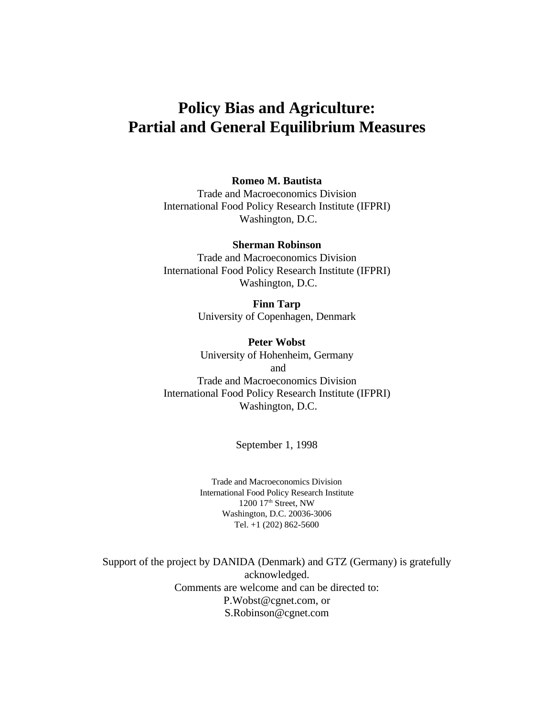# **Policy Bias and Agriculture: Partial and General Equilibrium Measures**

#### **Romeo M. Bautista**

Trade and Macroeconomics Division International Food Policy Research Institute (IFPRI) Washington, D.C.

**Sherman Robinson** Trade and Macroeconomics Division International Food Policy Research Institute (IFPRI) Washington, D.C.

> **Finn Tarp** University of Copenhagen, Denmark

**Peter Wobst** University of Hohenheim, Germany and Trade and Macroeconomics Division International Food Policy Research Institute (IFPRI) Washington, D.C.

September 1, 1998

Trade and Macroeconomics Division International Food Policy Research Institute 1200 17<sup>th</sup> Street, NW Washington, D.C. 20036-3006 Tel. +1 (202) 862-5600

Support of the project by DANIDA (Denmark) and GTZ (Germany) is gratefully acknowledged. Comments are welcome and can be directed to: P.Wobst@cgnet.com, or S.Robinson@cgnet.com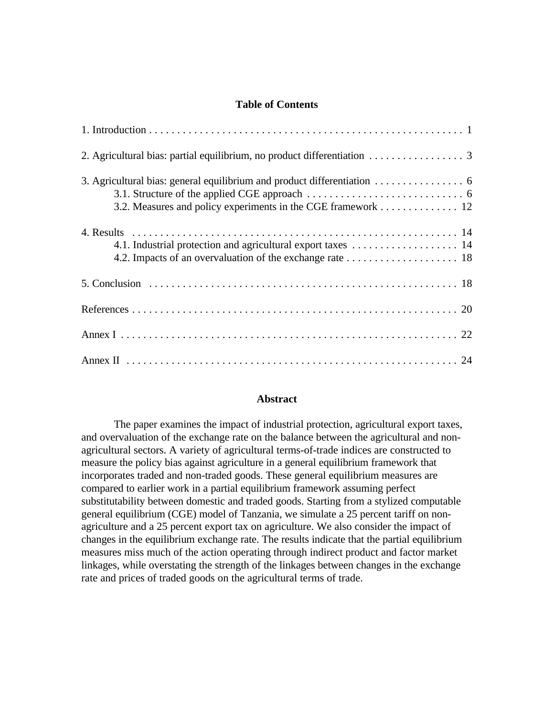#### **Table of Contents**

| 3.2. Measures and policy experiments in the CGE framework 12 |
|--------------------------------------------------------------|
|                                                              |
|                                                              |
|                                                              |
|                                                              |
|                                                              |

#### **Abstract**

The paper examines the impact of industrial protection, agricultural export taxes, and overvaluation of the exchange rate on the balance between the agricultural and nonagricultural sectors. A variety of agricultural terms-of-trade indices are constructed to measure the policy bias against agriculture in a general equilibrium framework that incorporates traded and non-traded goods. These general equilibrium measures are compared to earlier work in a partial equilibrium framework assuming perfect substitutability between domestic and traded goods. Starting from a stylized computable general equilibrium (CGE) model of Tanzania, we simulate a 25 percent tariff on nonagriculture and a 25 percent export tax on agriculture. We also consider the impact of changes in the equilibrium exchange rate. The results indicate that the partial equilibrium measures miss much of the action operating through indirect product and factor market linkages, while overstating the strength of the linkages between changes in the exchange rate and prices of traded goods on the agricultural terms of trade.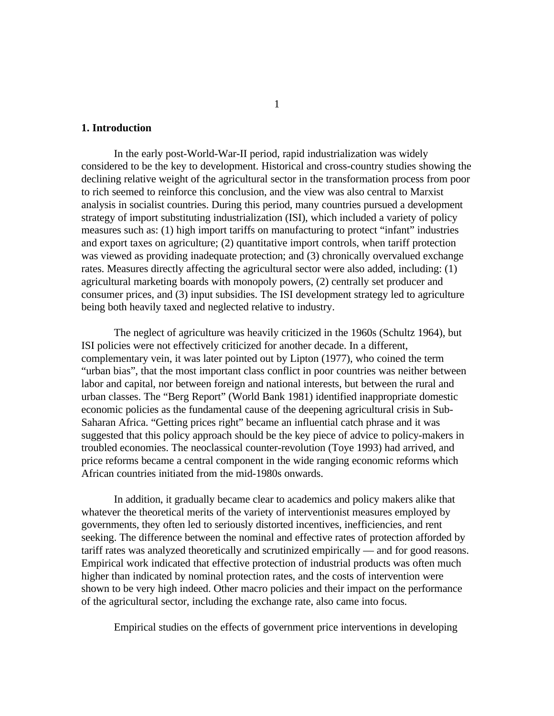#### **1. Introduction**

In the early post-World-War-II period, rapid industrialization was widely considered to be the key to development. Historical and cross-country studies showing the declining relative weight of the agricultural sector in the transformation process from poor to rich seemed to reinforce this conclusion, and the view was also central to Marxist analysis in socialist countries. During this period, many countries pursued a development strategy of import substituting industrialization (ISI), which included a variety of policy measures such as: (1) high import tariffs on manufacturing to protect "infant" industries and export taxes on agriculture; (2) quantitative import controls, when tariff protection was viewed as providing inadequate protection; and (3) chronically overvalued exchange rates. Measures directly affecting the agricultural sector were also added, including: (1) agricultural marketing boards with monopoly powers, (2) centrally set producer and consumer prices, and (3) input subsidies. The ISI development strategy led to agriculture being both heavily taxed and neglected relative to industry.

The neglect of agriculture was heavily criticized in the 1960s (Schultz 1964), but ISI policies were not effectively criticized for another decade. In a different, complementary vein, it was later pointed out by Lipton (1977), who coined the term "urban bias", that the most important class conflict in poor countries was neither between labor and capital, nor between foreign and national interests, but between the rural and urban classes. The "Berg Report" (World Bank 1981) identified inappropriate domestic economic policies as the fundamental cause of the deepening agricultural crisis in Sub-Saharan Africa. "Getting prices right" became an influential catch phrase and it was suggested that this policy approach should be the key piece of advice to policy-makers in troubled economies. The neoclassical counter-revolution (Toye 1993) had arrived, and price reforms became a central component in the wide ranging economic reforms which African countries initiated from the mid-1980s onwards.

In addition, it gradually became clear to academics and policy makers alike that whatever the theoretical merits of the variety of interventionist measures employed by governments, they often led to seriously distorted incentives, inefficiencies, and rent seeking. The difference between the nominal and effective rates of protection afforded by tariff rates was analyzed theoretically and scrutinized empirically — and for good reasons. Empirical work indicated that effective protection of industrial products was often much higher than indicated by nominal protection rates, and the costs of intervention were shown to be very high indeed. Other macro policies and their impact on the performance of the agricultural sector, including the exchange rate, also came into focus.

Empirical studies on the effects of government price interventions in developing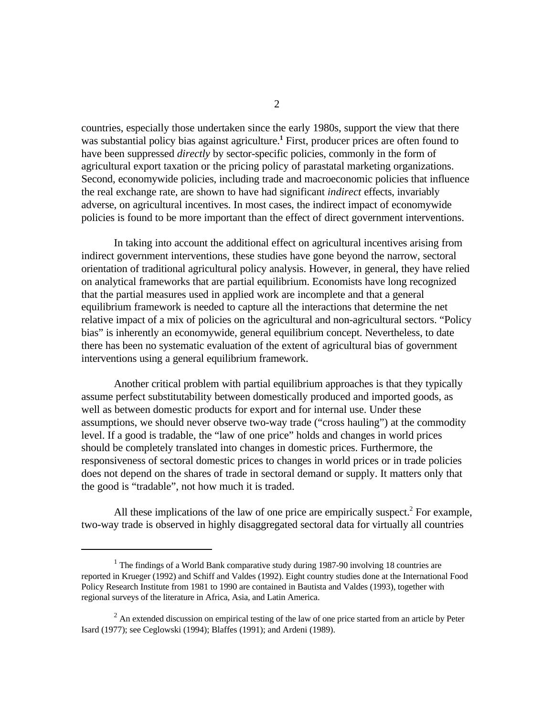countries, especially those undertaken since the early 1980s, support the view that there was substantial policy bias against agriculture.<sup>1</sup> First, producer prices are often found to have been suppressed *directly* by sector-specific policies, commonly in the form of agricultural export taxation or the pricing policy of parastatal marketing organizations. Second, economywide policies, including trade and macroeconomic policies that influence the real exchange rate, are shown to have had significant *indirect* effects, invariably adverse, on agricultural incentives. In most cases, the indirect impact of economywide policies is found to be more important than the effect of direct government interventions.

In taking into account the additional effect on agricultural incentives arising from indirect government interventions, these studies have gone beyond the narrow, sectoral orientation of traditional agricultural policy analysis. However, in general, they have relied on analytical frameworks that are partial equilibrium. Economists have long recognized that the partial measures used in applied work are incomplete and that a general equilibrium framework is needed to capture all the interactions that determine the net relative impact of a mix of policies on the agricultural and non-agricultural sectors. "Policy bias" is inherently an economywide, general equilibrium concept. Nevertheless, to date there has been no systematic evaluation of the extent of agricultural bias of government interventions using a general equilibrium framework.

Another critical problem with partial equilibrium approaches is that they typically assume perfect substitutability between domestically produced and imported goods, as well as between domestic products for export and for internal use. Under these assumptions, we should never observe two-way trade ("cross hauling") at the commodity level. If a good is tradable, the "law of one price" holds and changes in world prices should be completely translated into changes in domestic prices. Furthermore, the responsiveness of sectoral domestic prices to changes in world prices or in trade policies does not depend on the shares of trade in sectoral demand or supply. It matters only that the good is "tradable", not how much it is traded.

All these implications of the law of one price are empirically suspect.<sup>2</sup> For example, two-way trade is observed in highly disaggregated sectoral data for virtually all countries

 $1$  The findings of a World Bank comparative study during 1987-90 involving 18 countries are reported in Krueger (1992) and Schiff and Valdes (1992). Eight country studies done at the International Food Policy Research Institute from 1981 to 1990 are contained in Bautista and Valdes (1993), together with regional surveys of the literature in Africa, Asia, and Latin America.

 $<sup>2</sup>$  An extended discussion on empirical testing of the law of one price started from an article by Peter</sup> Isard (1977); see Ceglowski (1994); Blaffes (1991); and Ardeni (1989).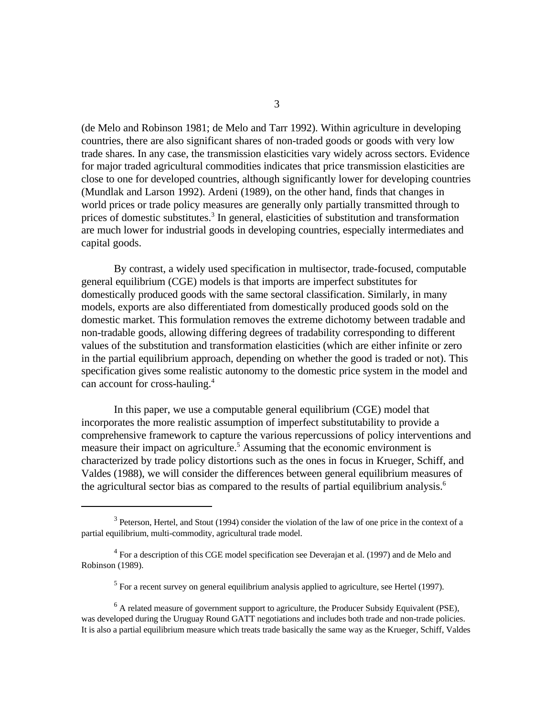(de Melo and Robinson 1981; de Melo and Tarr 1992). Within agriculture in developing countries, there are also significant shares of non-traded goods or goods with very low trade shares. In any case, the transmission elasticities vary widely across sectors. Evidence for major traded agricultural commodities indicates that price transmission elasticities are close to one for developed countries, although significantly lower for developing countries (Mundlak and Larson 1992). Ardeni (1989), on the other hand, finds that changes in world prices or trade policy measures are generally only partially transmitted through to prices of domestic substitutes.<sup>3</sup> In general, elasticities of substitution and transformation are much lower for industrial goods in developing countries, especially intermediates and capital goods.

By contrast, a widely used specification in multisector, trade-focused, computable general equilibrium (CGE) models is that imports are imperfect substitutes for domestically produced goods with the same sectoral classification. Similarly, in many models, exports are also differentiated from domestically produced goods sold on the domestic market. This formulation removes the extreme dichotomy between tradable and non-tradable goods, allowing differing degrees of tradability corresponding to different values of the substitution and transformation elasticities (which are either infinite or zero in the partial equilibrium approach, depending on whether the good is traded or not). This specification gives some realistic autonomy to the domestic price system in the model and can account for cross-hauling.<sup>4</sup>

In this paper, we use a computable general equilibrium (CGE) model that incorporates the more realistic assumption of imperfect substitutability to provide a comprehensive framework to capture the various repercussions of policy interventions and measure their impact on agriculture.<sup>5</sup> Assuming that the economic environment is characterized by trade policy distortions such as the ones in focus in Krueger, Schiff, and Valdes (1988), we will consider the differences between general equilibrium measures of the agricultural sector bias as compared to the results of partial equilibrium analysis.<sup>6</sup>

 $3$  Peterson, Hertel, and Stout (1994) consider the violation of the law of one price in the context of a partial equilibrium, multi-commodity, agricultural trade model.

 $4$  For a description of this CGE model specification see Deverajan et al. (1997) and de Melo and Robinson (1989).

 $<sup>5</sup>$  For a recent survey on general equilibrium analysis applied to agriculture, see Hertel (1997).</sup>

 $<sup>6</sup>$  A related measure of government support to agriculture, the Producer Subsidy Equivalent (PSE),</sup> was developed during the Uruguay Round GATT negotiations and includes both trade and non-trade policies. It is also a partial equilibrium measure which treats trade basically the same way as the Krueger, Schiff, Valdes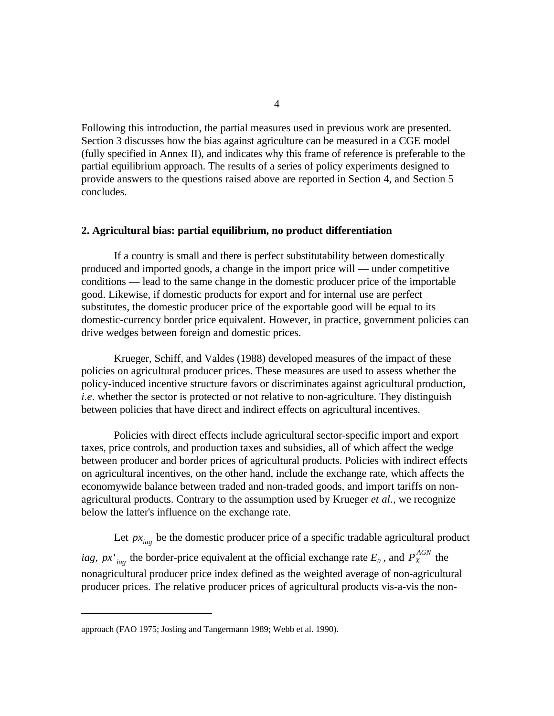Following this introduction, the partial measures used in previous work are presented. Section 3 discusses how the bias against agriculture can be measured in a CGE model (fully specified in Annex II), and indicates why this frame of reference is preferable to the partial equilibrium approach. The results of a series of policy experiments designed to provide answers to the questions raised above are reported in Section 4, and Section 5 concludes.

#### **2. Agricultural bias: partial equilibrium, no product differentiation**

If a country is small and there is perfect substitutability between domestically produced and imported goods, a change in the import price will — under competitive conditions — lead to the same change in the domestic producer price of the importable good. Likewise, if domestic products for export and for internal use are perfect substitutes, the domestic producer price of the exportable good will be equal to its domestic-currency border price equivalent. However, in practice, government policies can drive wedges between foreign and domestic prices.

Krueger, Schiff, and Valdes (1988) developed measures of the impact of these policies on agricultural producer prices. These measures are used to assess whether the policy-induced incentive structure favors or discriminates against agricultural production, *i.e*. whether the sector is protected or not relative to non-agriculture. They distinguish between policies that have direct and indirect effects on agricultural incentives.

Policies with direct effects include agricultural sector-specific import and export taxes, price controls, and production taxes and subsidies, all of which affect the wedge between producer and border prices of agricultural products. Policies with indirect effects on agricultural incentives, on the other hand, include the exchange rate, which affects the economywide balance between traded and non-traded goods, and import tariffs on nonagricultural products. Contrary to the assumption used by Krueger *et al.,* we recognize below the latter's influence on the exchange rate.

Let  $px<sub>iag</sub>$  be the domestic producer price of a specific tradable agricultural product  $px'$ <sub>*iag*</sub> the border-price equivalent at the official exchange rate  $E_0$  , and  $P_X^{AGN}$ *iag*,  $px'_{iag}$  the border-price equivalent at the official exchange rate  $E_0$ , and  $P_X^{AGN}$  the nonagricultural producer price index defined as the weighted average of non-agricultural producer prices. The relative producer prices of agricultural products vis-a-vis the non-

approach (FAO 1975; Josling and Tangermann 1989; Webb et al. 1990).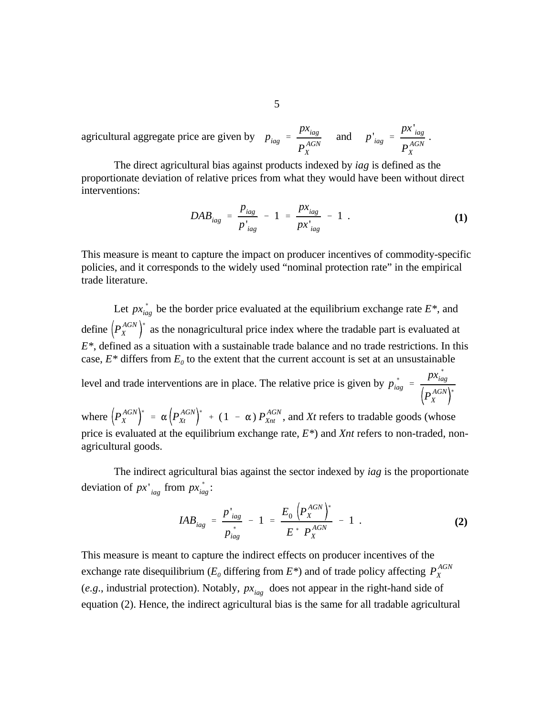$p_{iag}$  = *pxiag*  $P_{X}^{\textit{AGN}}$ *X* and  $p'_{iag}$  = *px* ' *iag*  $P_{\scriptscriptstyle X}^{\scriptscriptstyle AGN}$ *X* agricultural aggregate price are given by  $p_{i\alpha} = \frac{P_{i\alpha}^{i\alpha}}{P_{i\alpha}^{i\alpha}}$  and  $p_{i\alpha}^{i} = \frac{P_{i\alpha}^{i\alpha}}{P_{i\alpha}^{i\alpha}}$ .

The direct agricultural bias against products indexed by *iag* is defined as the proportionate deviation of relative prices from what they would have been without direct interventions:

$$
DAB_{iag} = \frac{p_{iag}}{p'_{iag}} - 1 = \frac{px_{iag}}{px'_{iag}} - 1.
$$
 (1)

This measure is meant to capture the impact on producer incentives of commodity-specific policies, and it corresponds to the widely used "nominal protection rate" in the empirical trade literature.

 $px^{\,*}_{ia}$ Let  $px_{iag}^*$  be the border price evaluated at the equilibrium exchange rate  $E^*$ , and  $\overline{P}_X^{AGN}$ *X* define  $(P_X^{AGN})^*$  as the nonagricultural price index where the tradable part is evaluated at  $p_{ia}^*$ *iag* '  $px^{\ast}_{ia}$ *iag*  $P_{\scriptscriptstyle X}^{\scriptscriptstyle AGN}$ *X* level and trade interventions are in place. The relative price is given by  $p_{iag}^* = \frac{P_i}{I} \frac{AGN}{r}$  $P_{X}^{AGN}$  $\alpha \left( P_{Xt}^{AGN} \right)$  $\int_{0}^{*}$  + (1 -  $\alpha$ )  $P_{Xnt}^{AGN}$ *E\**, defined as a situation with a sustainable trade balance and no trade restrictions. In this case,  $E^*$  differs from  $E_0$  to the extent that the current account is set at an unsustainable

*X Xt* where  $\left(P_X^{AGN}\right)^* = \alpha \left(P_{Xt}^{AGN}\right)^* + (1 - \alpha) P_{Xnt}^{AGN}$ , and Xt refers to tradable goods (whose price is evaluated at the equilibrium exchange rate, *E\**) and *Xnt* refers to non-traded, nonagricultural goods.

 $px'$ <sub>*iag*</sub> from  $px^*$ <sub>*iag*</sub> deviation of  $px'_{iag}$  from  $px^*_{iag}$ : The indirect agricultural bias against the sector indexed by *iag* is the proportionate

$$
IAB_{iag} = \frac{p'_{iag}}{p_{iag}^{*}} - 1 = \frac{E_0 \left( P_X^{AGN} \right)^{*}}{E^{*} P_X^{AGN}} - 1
$$
 (2)

 $P_{\scriptscriptstyle X}^{\scriptscriptstyle AGN}$ exchange rate disequilibrium ( $E_0$  differing from  $E^*$ ) and of trade policy affecting  $P_X^*$  $(e.g.,$  industrial protection). Notably,  $px_{iag}$  does not appear in the right-hand side of This measure is meant to capture the indirect effects on producer incentives of the equation (2). Hence, the indirect agricultural bias is the same for all tradable agricultural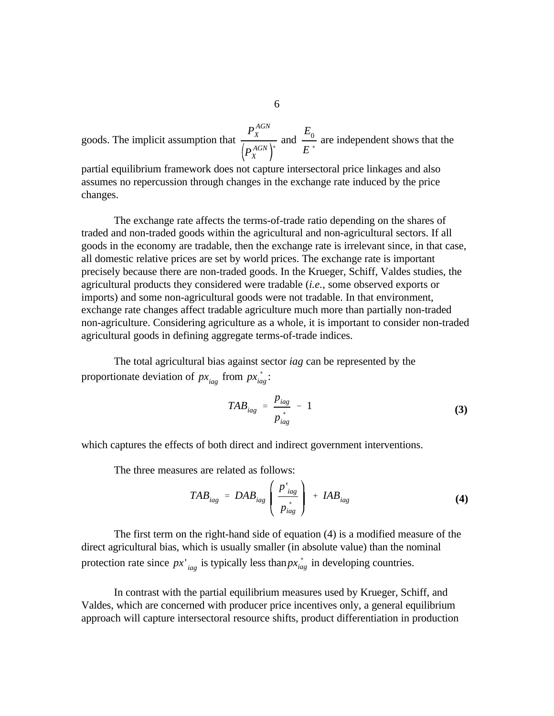$P_{X}^{\textit{AGN}}$ *X*  $P_{X}^{AGN}$ *X* (  $E^{\rm }_{0}$ goods. The implicit assumption that  $\frac{A}{\left(P_{\nu}^{AGN}\right)^{*}}$  and  $\frac{0}{E^{*}}$  are independent shows that the

partial equilibrium framework does not capture intersectoral price linkages and also assumes no repercussion through changes in the exchange rate induced by the price changes.

The exchange rate affects the terms-of-trade ratio depending on the shares of traded and non-traded goods within the agricultural and non-agricultural sectors. If all goods in the economy are tradable, then the exchange rate is irrelevant since, in that case, all domestic relative prices are set by world prices. The exchange rate is important precisely because there are non-traded goods. In the Krueger, Schiff, Valdes studies, the agricultural products they considered were tradable (*i.e.*, some observed exports or imports) and some non-agricultural goods were not tradable. In that environment, exchange rate changes affect tradable agriculture much more than partially non-traded non-agriculture. Considering agriculture as a whole, it is important to consider non-traded agricultural goods in defining aggregate terms-of-trade indices.

 $px_{iag}$  from  $px_{ia}^*$ proportionate deviation of  $px_{iag}$  from  $px_{iag}^*$ : The total agricultural bias against sector *iag* can be represented by the

$$
TAB_{iag} = \frac{p_{iag}}{p_{iag}^*} - 1 \tag{3}
$$

which captures the effects of both direct and indirect government interventions.

The three measures are related as follows:

$$
TAB_{iag} = DAB_{iag} \left( \frac{p'_{iag}}{p^{*}_{iag}} \right) + IAB_{iag}
$$
 (4)

 $px'$ <sub>iag</sub> is typically less than  $px^*$ <sub>ia</sub> protection rate since  $px'_{iag}$  is typically less than  $px^{*}_{iag}$  in developing countries. The first term on the right-hand side of equation (4) is a modified measure of the direct agricultural bias, which is usually smaller (in absolute value) than the nominal

In contrast with the partial equilibrium measures used by Krueger, Schiff, and Valdes, which are concerned with producer price incentives only, a general equilibrium approach will capture intersectoral resource shifts, product differentiation in production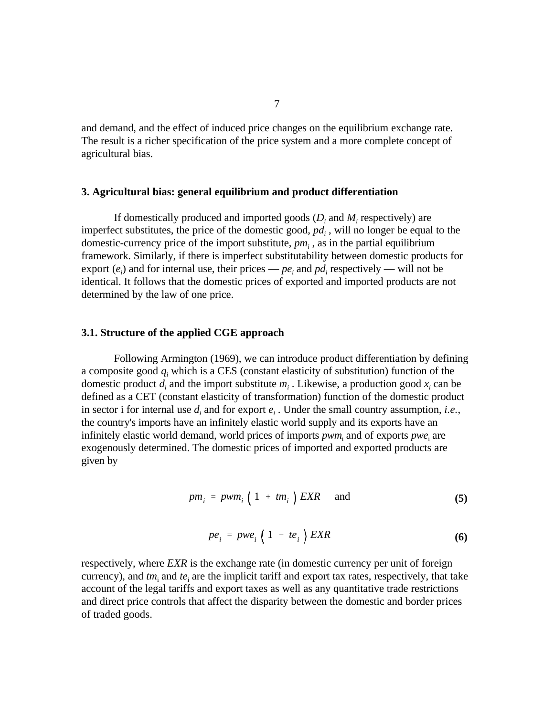and demand, and the effect of induced price changes on the equilibrium exchange rate. The result is a richer specification of the price system and a more complete concept of agricultural bias.

#### **3. Agricultural bias: general equilibrium and product differentiation**

If domestically produced and imported goods  $(D_i \text{ and } M_i \text{ respectively})$  are imperfect substitutes, the price of the domestic good,  $pd<sub>i</sub>$ , will no longer be equal to the domestic-currency price of the import substitute,  $pm<sub>i</sub>$ , as in the partial equilibrium framework. Similarly, if there is imperfect substitutability between domestic products for export  $(e_i)$  and for internal use, their prices —  $pe_i$  and  $pd_i$  respectively — will not be identical. It follows that the domestic prices of exported and imported products are not determined by the law of one price.

#### **3.1. Structure of the applied CGE approach**

Following Armington (1969), we can introduce product differentiation by defining a composite good *q<sup>i</sup>* which is a CES (constant elasticity of substitution) function of the domestic product  $d_i$  and the import substitute  $m_i$ . Likewise, a production good  $x_i$  can be defined as a CET (constant elasticity of transformation) function of the domestic product in sector i for internal use  $d_i$  and for export  $e_i$ . Under the small country assumption, *i.e.*, the country's imports have an infinitely elastic world supply and its exports have an infinitely elastic world demand, world prices of imports  $pwm_i$  and of exports  $pwe_i$  are exogenously determined. The domestic prices of imported and exported products are given by

$$
pm_i = \text{pwm}_i \left( 1 + \text{tm}_i \right) \text{EXR} \quad \text{and} \tag{5}
$$

$$
pe_i = pwe_i \left(1 - te_i\right) \text{EXR} \tag{6}
$$

respectively, where *EXR* is the exchange rate (in domestic currency per unit of foreign currency), and  $tm_i$  and  $te_i$  are the implicit tariff and export tax rates, respectively, that take account of the legal tariffs and export taxes as well as any quantitative trade restrictions and direct price controls that affect the disparity between the domestic and border prices of traded goods.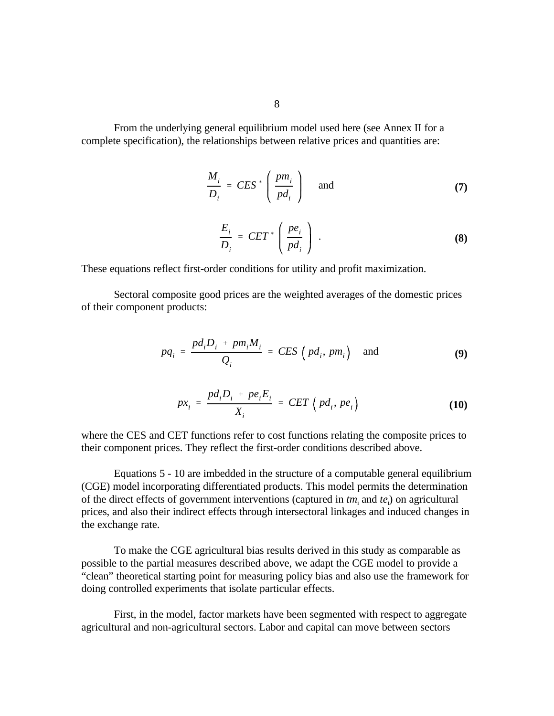From the underlying general equilibrium model used here (see Annex II for a complete specification), the relationships between relative prices and quantities are:

$$
\frac{M_i}{D_i} = CES^* \left( \frac{pm_i}{pd_i} \right) \quad \text{and} \tag{7}
$$

$$
\frac{E_i}{D_i} = CET^* \left( \frac{pe_i}{pd_i} \right) . \tag{8}
$$

These equations reflect first-order conditions for utility and profit maximization.

Sectoral composite good prices are the weighted averages of the domestic prices of their component products:

$$
pq_i = \frac{pd_i D_i + pm_i M_i}{Q_i} = CES \left( pd_i, pm_i \right) \text{ and } (9)
$$

$$
px_i = \frac{pd_iD_i + pe_iE_i}{X_i} = CET\left(pd_i, pe_i\right)
$$
 (10)

where the CES and CET functions refer to cost functions relating the composite prices to their component prices. They reflect the first-order conditions described above.

Equations 5 - 10 are imbedded in the structure of a computable general equilibrium (CGE) model incorporating differentiated products. This model permits the determination of the direct effects of government interventions (captured in  $tm$ , and  $te$ <sub>i</sub>) on agricultural prices, and also their indirect effects through intersectoral linkages and induced changes in the exchange rate.

To make the CGE agricultural bias results derived in this study as comparable as possible to the partial measures described above, we adapt the CGE model to provide a "clean" theoretical starting point for measuring policy bias and also use the framework for doing controlled experiments that isolate particular effects.

First, in the model, factor markets have been segmented with respect to aggregate agricultural and non-agricultural sectors. Labor and capital can move between sectors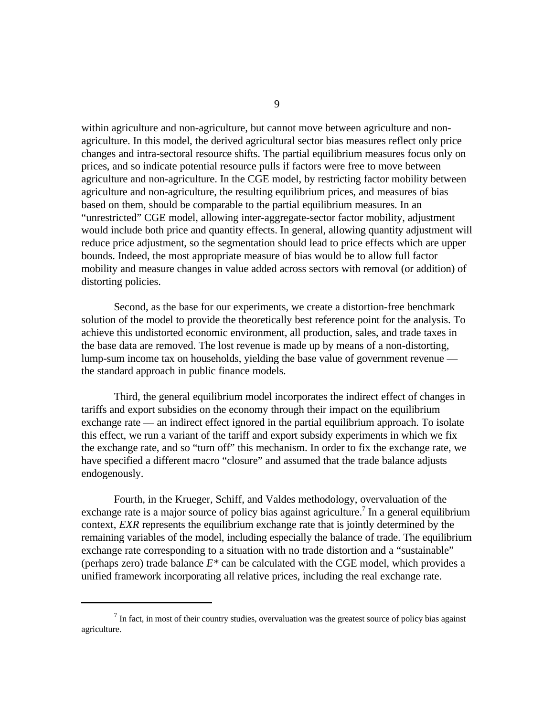within agriculture and non-agriculture, but cannot move between agriculture and nonagriculture. In this model, the derived agricultural sector bias measures reflect only price changes and intra-sectoral resource shifts. The partial equilibrium measures focus only on prices, and so indicate potential resource pulls if factors were free to move between agriculture and non-agriculture. In the CGE model, by restricting factor mobility between agriculture and non-agriculture, the resulting equilibrium prices, and measures of bias based on them, should be comparable to the partial equilibrium measures. In an "unrestricted" CGE model, allowing inter-aggregate-sector factor mobility, adjustment would include both price and quantity effects. In general, allowing quantity adjustment will reduce price adjustment, so the segmentation should lead to price effects which are upper bounds. Indeed, the most appropriate measure of bias would be to allow full factor mobility and measure changes in value added across sectors with removal (or addition) of distorting policies.

Second, as the base for our experiments, we create a distortion-free benchmark solution of the model to provide the theoretically best reference point for the analysis. To achieve this undistorted economic environment, all production, sales, and trade taxes in the base data are removed. The lost revenue is made up by means of a non-distorting, lump-sum income tax on households, yielding the base value of government revenue the standard approach in public finance models.

Third, the general equilibrium model incorporates the indirect effect of changes in tariffs and export subsidies on the economy through their impact on the equilibrium exchange rate — an indirect effect ignored in the partial equilibrium approach. To isolate this effect, we run a variant of the tariff and export subsidy experiments in which we fix the exchange rate, and so "turn off" this mechanism. In order to fix the exchange rate, we have specified a different macro "closure" and assumed that the trade balance adjusts endogenously.

Fourth, in the Krueger, Schiff, and Valdes methodology, overvaluation of the exchange rate is a major source of policy bias against agriculture.<sup>7</sup> In a general equilibrium context, *EXR* represents the equilibrium exchange rate that is jointly determined by the remaining variables of the model, including especially the balance of trade. The equilibrium exchange rate corresponding to a situation with no trade distortion and a "sustainable" (perhaps zero) trade balance *E\** can be calculated with the CGE model, which provides a unified framework incorporating all relative prices, including the real exchange rate.

9

In fact, in most of their country studies, overvaluation was the greatest source of policy bias against agriculture.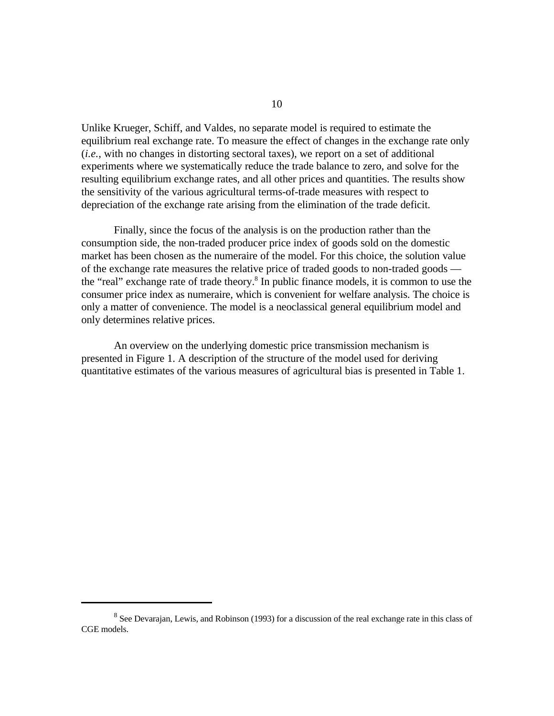Unlike Krueger, Schiff, and Valdes, no separate model is required to estimate the equilibrium real exchange rate. To measure the effect of changes in the exchange rate only (*i.e.*, with no changes in distorting sectoral taxes), we report on a set of additional experiments where we systematically reduce the trade balance to zero, and solve for the resulting equilibrium exchange rates, and all other prices and quantities. The results show the sensitivity of the various agricultural terms-of-trade measures with respect to depreciation of the exchange rate arising from the elimination of the trade deficit.

Finally, since the focus of the analysis is on the production rather than the consumption side, the non-traded producer price index of goods sold on the domestic market has been chosen as the numeraire of the model. For this choice, the solution value of the exchange rate measures the relative price of traded goods to non-traded goods the "real" exchange rate of trade theory. $\delta$  In public finance models, it is common to use the consumer price index as numeraire, which is convenient for welfare analysis. The choice is only a matter of convenience. The model is a neoclassical general equilibrium model and only determines relative prices.

An overview on the underlying domestic price transmission mechanism is presented in Figure 1. A description of the structure of the model used for deriving quantitative estimates of the various measures of agricultural bias is presented in Table 1.

<sup>&</sup>lt;sup>8</sup> See Devarajan, Lewis, and Robinson (1993) for a discussion of the real exchange rate in this class of CGE models.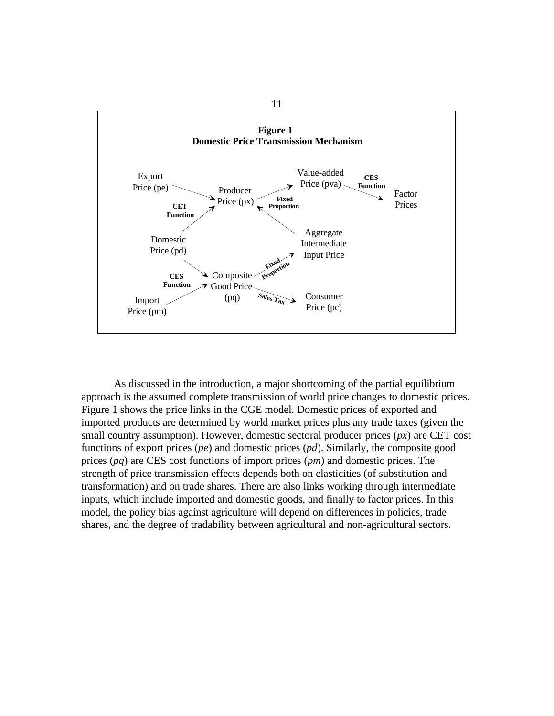

As discussed in the introduction, a major shortcoming of the partial equilibrium approach is the assumed complete transmission of world price changes to domestic prices. Figure 1 shows the price links in the CGE model. Domestic prices of exported and imported products are determined by world market prices plus any trade taxes (given the small country assumption). However, domestic sectoral producer prices (*px*) are CET cost functions of export prices (*pe*) and domestic prices (*pd*). Similarly, the composite good prices (*pq*) are CES cost functions of import prices (*pm*) and domestic prices. The strength of price transmission effects depends both on elasticities (of substitution and transformation) and on trade shares. There are also links working through intermediate inputs, which include imported and domestic goods, and finally to factor prices. In this model, the policy bias against agriculture will depend on differences in policies, trade shares, and the degree of tradability between agricultural and non-agricultural sectors.

11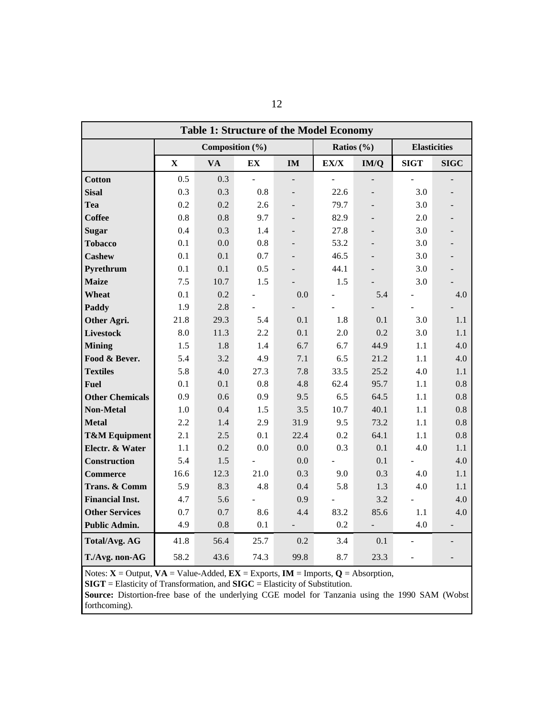| <b>Table 1: Structure of the Model Economy</b> |                 |           |      |                |                |      |                     |             |
|------------------------------------------------|-----------------|-----------|------|----------------|----------------|------|---------------------|-------------|
|                                                | Composition (%) |           |      |                | Ratios $(\% )$ |      | <b>Elasticities</b> |             |
|                                                | $\mathbf X$     | <b>VA</b> | EХ   | $\mathbf{IM}$  | EX/X           | IM/Q | <b>SIGT</b>         | <b>SIGC</b> |
| <b>Cotton</b>                                  | 0.5             | 0.3       | ÷.   | $\overline{a}$ |                |      |                     |             |
| <b>Sisal</b>                                   | 0.3             | 0.3       | 0.8  |                | 22.6           |      | 3.0                 |             |
| Tea                                            | 0.2             | 0.2       | 2.6  |                | 79.7           |      | 3.0                 |             |
| <b>Coffee</b>                                  | 0.8             | 0.8       | 9.7  |                | 82.9           |      | 2.0                 |             |
| <b>Sugar</b>                                   | 0.4             | 0.3       | 1.4  |                | 27.8           |      | 3.0                 |             |
| <b>Tobacco</b>                                 | 0.1             | 0.0       | 0.8  |                | 53.2           |      | 3.0                 |             |
| <b>Cashew</b>                                  | 0.1             | 0.1       | 0.7  |                | 46.5           |      | 3.0                 |             |
| Pyrethrum                                      | 0.1             | 0.1       | 0.5  |                | 44.1           |      | 3.0                 |             |
| <b>Maize</b>                                   | 7.5             | 10.7      | 1.5  |                | 1.5            |      | 3.0                 |             |
| Wheat                                          | 0.1             | 0.2       |      | 0.0            |                | 5.4  |                     | 4.0         |
| Paddy                                          | 1.9             | 2.8       |      |                |                |      |                     |             |
| Other Agri.                                    | 21.8            | 29.3      | 5.4  | 0.1            | 1.8            | 0.1  | 3.0                 | 1.1         |
| <b>Livestock</b>                               | 8.0             | 11.3      | 2.2  | 0.1            | 2.0            | 0.2  | 3.0                 | 1.1         |
| <b>Mining</b>                                  | 1.5             | 1.8       | 1.4  | 6.7            | 6.7            | 44.9 | 1.1                 | 4.0         |
| Food & Bever.                                  | 5.4             | 3.2       | 4.9  | 7.1            | 6.5            | 21.2 | 1.1                 | 4.0         |
| <b>Textiles</b>                                | 5.8             | 4.0       | 27.3 | 7.8            | 33.5           | 25.2 | 4.0                 | 1.1         |
| <b>Fuel</b>                                    | 0.1             | 0.1       | 0.8  | 4.8            | 62.4           | 95.7 | 1.1                 | 0.8         |
| <b>Other Chemicals</b>                         | 0.9             | 0.6       | 0.9  | 9.5            | 6.5            | 64.5 | 1.1                 | 0.8         |
| <b>Non-Metal</b>                               | 1.0             | 0.4       | 1.5  | 3.5            | 10.7           | 40.1 | 1.1                 | 0.8         |
| <b>Metal</b>                                   | 2.2             | 1.4       | 2.9  | 31.9           | 9.5            | 73.2 | 1.1                 | 0.8         |
| <b>T&amp;M Equipment</b>                       | 2.1             | 2.5       | 0.1  | 22.4           | 0.2            | 64.1 | 1.1                 | 0.8         |
| Electr. & Water                                | 1.1             | 0.2       | 0.0  | 0.0            | 0.3            | 0.1  | 4.0                 | 1.1         |
| <b>Construction</b>                            | 5.4             | 1.5       |      | 0.0            |                | 0.1  |                     | 4.0         |
| <b>Commerce</b>                                | 16.6            | 12.3      | 21.0 | 0.3            | 9.0            | 0.3  | 4.0                 | 1.1         |
| Trans. & Comm                                  | 5.9             | 8.3       | 4.8  | 0.4            | 5.8            | 1.3  | 4.0                 | 1.1         |
| <b>Financial Inst.</b>                         | 4.7             | 5.6       |      | 0.9            |                | 3.2  |                     | 4.0         |
| <b>Other Services</b>                          | 0.7             | 0.7       | 8.6  | 4.4            | 83.2           | 85.6 | 1.1                 | 4.0         |
| <b>Public Admin.</b>                           | 4.9             | 0.8       | 0.1  |                | 0.2            |      | 4.0                 |             |
| <b>Total/Avg. AG</b>                           | 41.8            | 56.4      | 25.7 | 0.2            | 3.4            | 0.1  |                     |             |
| T./Avg. non-AG                                 | 58.2            | 43.6      | 74.3 | 99.8           | 8.7            | 23.3 |                     |             |

Notes:  $X =$  Output,  $VA =$  Value-Added,  $EX =$  Exports,  $IM =$  Imports,  $Q =$  Absorption,

**SIGT** = Elasticity of Transformation, and **SIGC** = Elasticity of Substitution.

**Source:** Distortion-free base of the underlying CGE model for Tanzania using the 1990 SAM (Wobst forthcoming).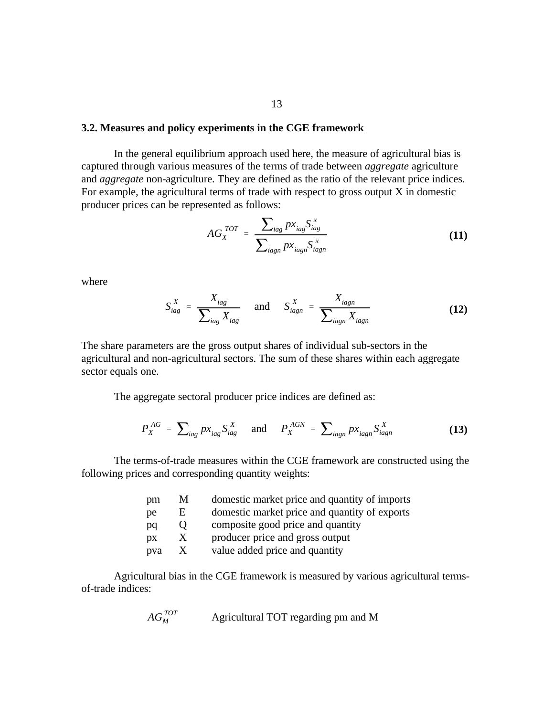#### **3.2. Measures and policy experiments in the CGE framework**

In the general equilibrium approach used here, the measure of agricultural bias is captured through various measures of the terms of trade between *aggregate* agriculture and *aggregate* non-agriculture. They are defined as the ratio of the relevant price indices. For example, the agricultural terms of trade with respect to gross output  $X$  in domestic producer prices can be represented as follows:

$$
AG_X^{TOT} = \frac{\sum_{lag} px_{lag} S_{lag}^x}{\sum_{lagn} px_{lagn} S_{lagn}^x}
$$
(11)

where

$$
S_{iag}^X = \frac{X_{iag}}{\sum_{iag} X_{iag}} \quad \text{and} \quad S_{iagn}^X = \frac{X_{iagn}}{\sum_{iagn} X_{iagn}}
$$
 (12)

The share parameters are the gross output shares of individual sub-sectors in the agricultural and non-agricultural sectors. The sum of these shares within each aggregate sector equals one.

The aggregate sectoral producer price indices are defined as:

$$
P_X^{AG} = \sum_{iag} px_{iag} S_{iag}^X \quad \text{and} \quad P_X^{AGN} = \sum_{iagn} px_{iagn} S_{iagn}^X \tag{13}
$$

The terms-of-trade measures within the CGE framework are constructed using the following prices and corresponding quantity weights:

| pm  | M                 | domestic market price and quantity of imports |
|-----|-------------------|-----------------------------------------------|
| pe  | E                 | domestic market price and quantity of exports |
| pq  | $\mathbf{\Omega}$ | composite good price and quantity             |
| DX  | X                 | producer price and gross output               |
| pva | $\mathbf{X}$      | value added price and quantity                |

Agricultural bias in the CGE framework is measured by various agricultural termsof-trade indices:

$$
AG_M^{TOT}
$$
 Agricultural TOT regarding pm and M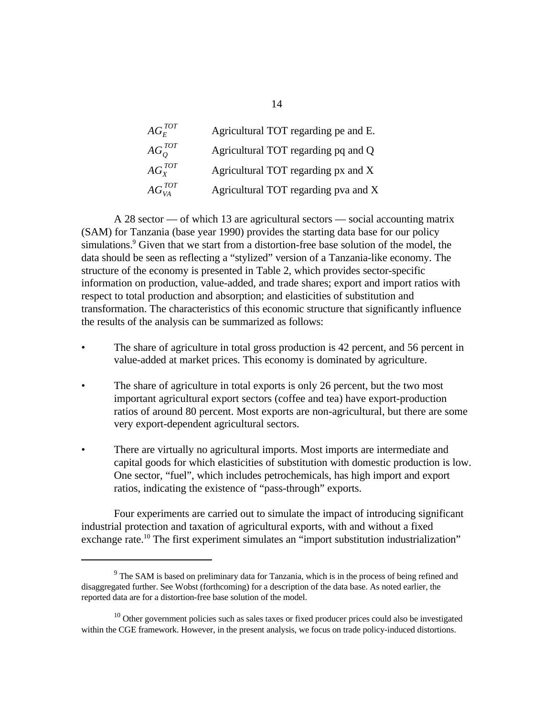| $AG_{F}^{TOT}$  | Agricultural TOT regarding pe and E. |
|-----------------|--------------------------------------|
| $AG_O^{TOT}$    | Agricultural TOT regarding pq and Q  |
| $AG_x^{TOT}$    | Agricultural TOT regarding px and X  |
| $AG_{VA}^{TOT}$ | Agricultural TOT regarding pva and X |

A 28 sector — of which 13 are agricultural sectors — social accounting matrix (SAM) for Tanzania (base year 1990) provides the starting data base for our policy simulations. $9$  Given that we start from a distortion-free base solution of the model, the data should be seen as reflecting a "stylized" version of a Tanzania-like economy. The structure of the economy is presented in Table 2, which provides sector-specific information on production, value-added, and trade shares; export and import ratios with respect to total production and absorption; and elasticities of substitution and transformation. The characteristics of this economic structure that significantly influence the results of the analysis can be summarized as follows:

- The share of agriculture in total gross production is 42 percent, and 56 percent in value-added at market prices. This economy is dominated by agriculture.
- The share of agriculture in total exports is only 26 percent, but the two most important agricultural export sectors (coffee and tea) have export-production ratios of around 80 percent. Most exports are non-agricultural, but there are some very export-dependent agricultural sectors.
- There are virtually no agricultural imports. Most imports are intermediate and capital goods for which elasticities of substitution with domestic production is low. One sector, "fuel", which includes petrochemicals, has high import and export ratios, indicating the existence of "pass-through" exports.

Four experiments are carried out to simulate the impact of introducing significant industrial protection and taxation of agricultural exports, with and without a fixed exchange rate.<sup>10</sup> The first experiment simulates an "import substitution industrialization"

 $9<sup>9</sup>$  The SAM is based on preliminary data for Tanzania, which is in the process of being refined and disaggregated further. See Wobst (forthcoming) for a description of the data base. As noted earlier, the reported data are for a distortion-free base solution of the model.

 $10$  Other government policies such as sales taxes or fixed producer prices could also be investigated within the CGE framework. However, in the present analysis, we focus on trade policy-induced distortions.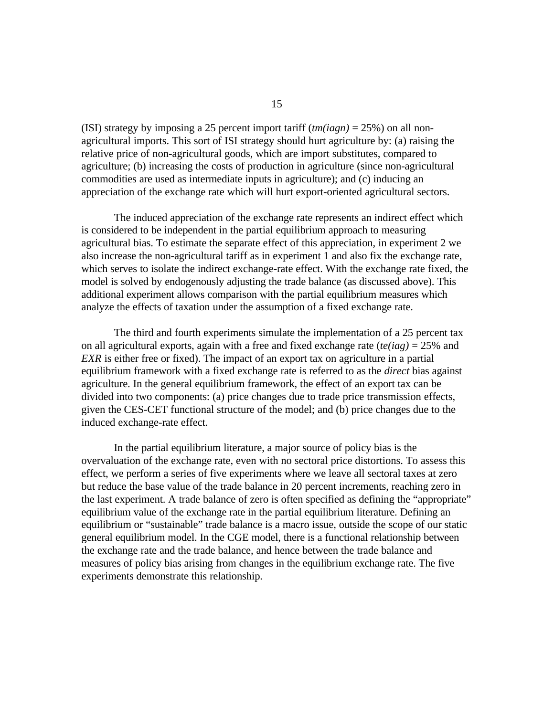(ISI) strategy by imposing a 25 percent import tariff (*tm(iagn)* = 25%) on all nonagricultural imports. This sort of ISI strategy should hurt agriculture by: (a) raising the relative price of non-agricultural goods, which are import substitutes, compared to agriculture; (b) increasing the costs of production in agriculture (since non-agricultural commodities are used as intermediate inputs in agriculture); and (c) inducing an appreciation of the exchange rate which will hurt export-oriented agricultural sectors.

The induced appreciation of the exchange rate represents an indirect effect which is considered to be independent in the partial equilibrium approach to measuring agricultural bias. To estimate the separate effect of this appreciation, in experiment 2 we also increase the non-agricultural tariff as in experiment 1 and also fix the exchange rate, which serves to isolate the indirect exchange-rate effect. With the exchange rate fixed, the model is solved by endogenously adjusting the trade balance (as discussed above). This additional experiment allows comparison with the partial equilibrium measures which analyze the effects of taxation under the assumption of a fixed exchange rate.

The third and fourth experiments simulate the implementation of a 25 percent tax on all agricultural exports, again with a free and fixed exchange rate (*te(iag)* = 25% and *EXR* is either free or fixed). The impact of an export tax on agriculture in a partial equilibrium framework with a fixed exchange rate is referred to as the *direct* bias against agriculture. In the general equilibrium framework, the effect of an export tax can be divided into two components: (a) price changes due to trade price transmission effects, given the CES-CET functional structure of the model; and (b) price changes due to the induced exchange-rate effect.

In the partial equilibrium literature, a major source of policy bias is the overvaluation of the exchange rate, even with no sectoral price distortions. To assess this effect, we perform a series of five experiments where we leave all sectoral taxes at zero but reduce the base value of the trade balance in 20 percent increments, reaching zero in the last experiment. A trade balance of zero is often specified as defining the "appropriate" equilibrium value of the exchange rate in the partial equilibrium literature. Defining an equilibrium or "sustainable" trade balance is a macro issue, outside the scope of our static general equilibrium model. In the CGE model, there is a functional relationship between the exchange rate and the trade balance, and hence between the trade balance and measures of policy bias arising from changes in the equilibrium exchange rate. The five experiments demonstrate this relationship.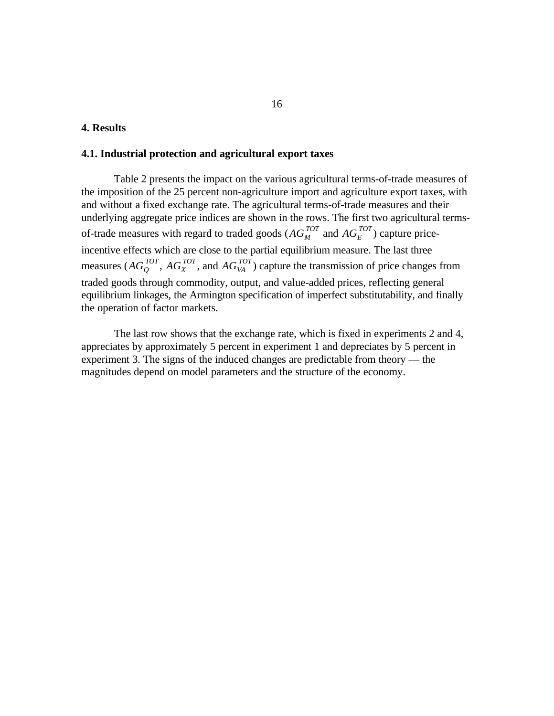#### **4. Results**

#### **4.1. Industrial protection and agricultural export taxes**

of-trade measures with regard to traded goods ( $AG_M^{TOT}$  and  $AG_E^{TOT}$ ) capture pricemeasures ( $AG_Q^{TOT}$ ,  $AG_X^{TOT}$ , and  $AG_{VA}^{TOT}$ ) capture the transmission of price changes from Table 2 presents the impact on the various agricultural terms-of-trade measures of the imposition of the 25 percent non-agriculture import and agriculture export taxes, with and without a fixed exchange rate. The agricultural terms-of-trade measures and their underlying aggregate price indices are shown in the rows. The first two agricultural termsincentive effects which are close to the partial equilibrium measure. The last three traded goods through commodity, output, and value-added prices, reflecting general equilibrium linkages, the Armington specification of imperfect substitutability, and finally the operation of factor markets.

The last row shows that the exchange rate, which is fixed in experiments 2 and 4, appreciates by approximately 5 percent in experiment 1 and depreciates by 5 percent in experiment 3. The signs of the induced changes are predictable from theory — the magnitudes depend on model parameters and the structure of the economy.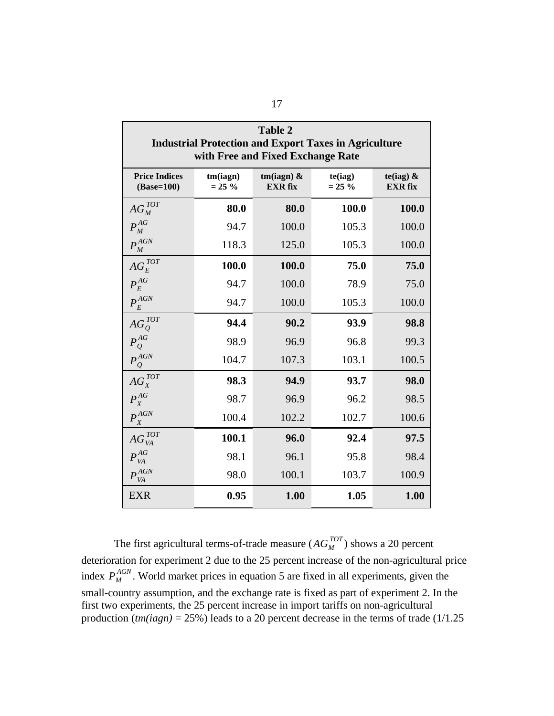| <b>Table 2</b><br><b>Industrial Protection and Export Taxes in Agriculture</b><br>with Free and Fixed Exchange Rate |                       |                                 |                      |                                |
|---------------------------------------------------------------------------------------------------------------------|-----------------------|---------------------------------|----------------------|--------------------------------|
| <b>Price Indices</b><br>$(Base=100)$                                                                                | tm(iagn)<br>$= 25 \%$ | tm(iagn) $\&$<br><b>EXR</b> fix | te(iag)<br>$= 25 \%$ | te(iag) $\&$<br><b>EXR</b> fix |
| $AG_M^{TOT}$                                                                                                        | 80.0                  | 80.0                            | 100.0                | 100.0                          |
| $P_M^{AG}$                                                                                                          | 94.7                  | 100.0                           | 105.3                | 100.0                          |
| $P_M^{AGN}$                                                                                                         | 118.3                 | 125.0                           | 105.3                | 100.0                          |
| $AG_E^{TOT}$                                                                                                        | 100.0                 | 100.0                           | 75.0                 | 75.0                           |
| $P_{E}^{AG}$                                                                                                        | 94.7                  | 100.0                           | 78.9                 | 75.0                           |
| $P_{E}^{AGN}$                                                                                                       | 94.7                  | 100.0                           | 105.3                | 100.0                          |
| $AG_O^{TOT}$                                                                                                        | 94.4                  | 90.2                            | 93.9                 | 98.8                           |
| $P^{AG}_{Q}$                                                                                                        | 98.9                  | 96.9                            | 96.8                 | 99.3                           |
| $P^{AGN}$                                                                                                           | 104.7                 | 107.3                           | 103.1                | 100.5                          |
| $AG_X^{TOT}$                                                                                                        | 98.3                  | 94.9                            | 93.7                 | 98.0                           |
| $P_X^{AG}$                                                                                                          | 98.7                  | 96.9                            | 96.2                 | 98.5                           |
| $P_X^{AGN}$                                                                                                         | 100.4                 | 102.2                           | 102.7                | 100.6                          |
| $AG_{VA}^{TOT}$                                                                                                     | 100.1                 | 96.0                            | 92.4                 | 97.5                           |
| ${P}^{AG}_{VA}$                                                                                                     | 98.1                  | 96.1                            | 95.8                 | 98.4                           |
| $P_{VA}^{AGN}$                                                                                                      | 98.0                  | 100.1                           | 103.7                | 100.9                          |
| <b>EXR</b>                                                                                                          | 0.95                  | 1.00                            | 1.05                 | 1.00                           |

The first agricultural terms-of-trade measure  $(AG_M^{TOT})$  shows a 20 percent  $P_M^{AGN}$ index  $P_M^{AGN}$ . World market prices in equation 5 are fixed in all experiments, given the deterioration for experiment 2 due to the 25 percent increase of the non-agricultural price small-country assumption, and the exchange rate is fixed as part of experiment 2. In the first two experiments, the 25 percent increase in import tariffs on non-agricultural production (*tm(iagn)* = 25%) leads to a 20 percent decrease in the terms of trade (1/1.25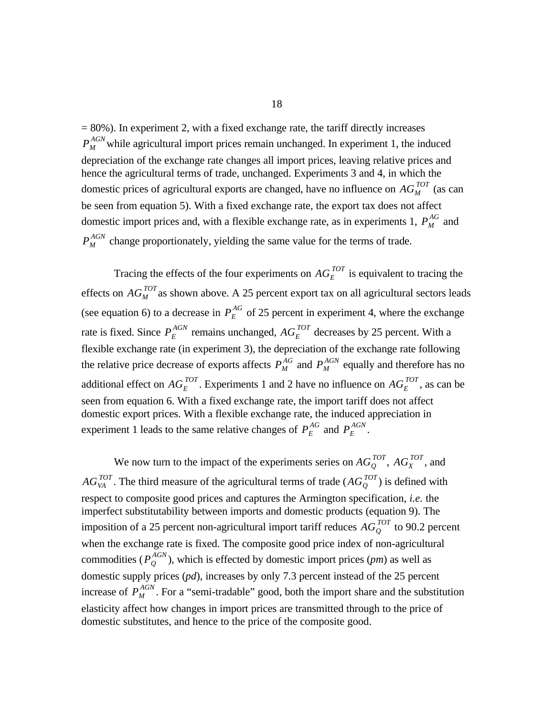$P_M^{AGN}$  $M_M^{\text{AGN}}$  while agricultural import prices remain unchanged. In experiment 1, the induced domestic prices of agricultural exports are changed, have no influence on  $AG_M^{TOT}$  (as can  $P_M^{\overline{A}\overline{G}}$ domestic import prices and, with a flexible exchange rate, as in experiments 1,  $P_M^{\text{AG}}$  and  $P_M^{AGN}$  $M_M^{\text{AGN}}$  change proportionately, yielding the same value for the terms of trade.  $= 80\%$ ). In experiment 2, with a fixed exchange rate, the tariff directly increases depreciation of the exchange rate changes all import prices, leaving relative prices and hence the agricultural terms of trade, unchanged. Experiments 3 and 4, in which the be seen from equation 5). With a fixed exchange rate, the export tax does not affect

Tracing the effects of the four experiments on  $AG_E^{TOT}$  is equivalent to tracing the effects on  $AG_M^{TOT}$  as shown above. A 25 percent export tax on all agricultural sectors leads  $\overline{P}_{E}^{AG}$ (see equation 6) to a decrease in  $P_E^{\text{AG}}$  of 25 percent in experiment 4, where the exchange rate is fixed. Since  $P_E^{AGN}$  remains unchanged,  $AG_E^{TOT}$  decreases by 25 percent. With a  $P_M^{AG}$  and  $P_M^{AGN}$ the relative price decrease of exports affects  $P_M^{AG}$  and  $P_M^{AGN}$  equally and therefore has no additional effect on  $AG_E^{TOT}$ . Experiments 1 and 2 have no influence on  $AG_E^{TOT}$ , as can be  $P_E^{AG}$  and  $P_E^{AGN}$ experiment 1 leads to the same relative changes of  $P_E^{AG}$  and  $P_E^{AGN}$ . flexible exchange rate (in experiment 3), the depreciation of the exchange rate following seen from equation 6. With a fixed exchange rate, the import tariff does not affect domestic export prices. With a flexible exchange rate, the induced appreciation in

We now turn to the impact of the experiments series on  $AG_Q^{TOT}$ ,  $AG_X^{TOT}$ , and  $AG_{VA}^{TOT}$ . The third measure of the agricultural terms of trade  $(AG_{Q}^{TOT})$  is defined with imposition of a 25 percent non-agricultural import tariff reduces  $AG_{\mathcal{Q}}^{TOT}$  to 90.2 percent  $P_O^{AGN}$ commodities ( $P_Q^{AGN}$ ), which is effected by domestic import prices (*pm*) as well as  $P_M^{AGN}$ increase of  $P_M^{AGN}$ . For a "semi-tradable" good, both the import share and the substitution respect to composite good prices and captures the Armington specification, *i.e.* the imperfect substitutability between imports and domestic products (equation 9). The when the exchange rate is fixed. The composite good price index of non-agricultural domestic supply prices (*pd*), increases by only 7.3 percent instead of the 25 percent elasticity affect how changes in import prices are transmitted through to the price of domestic substitutes, and hence to the price of the composite good.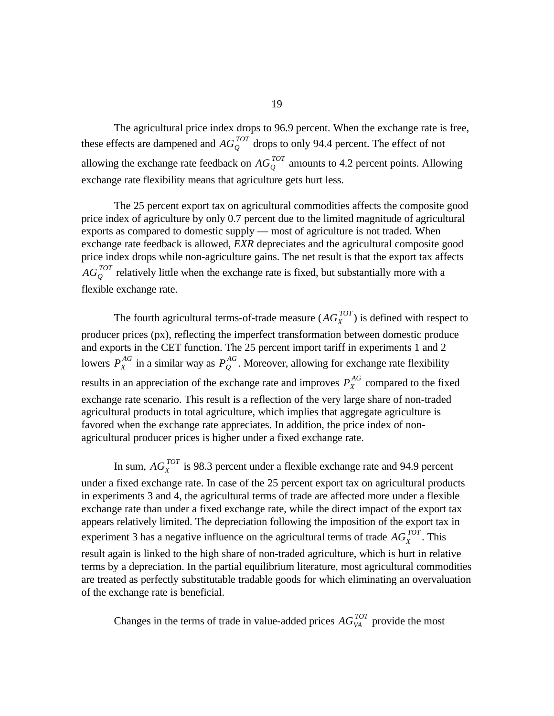these effects are dampened and  $AG_Q^{TOT}$  drops to only 94.4 percent. The effect of not allowing the exchange rate feedback on  $AG_Q^{TOT}$  amounts to 4.2 percent points. Allowing The agricultural price index drops to 96.9 percent. When the exchange rate is free, exchange rate flexibility means that agriculture gets hurt less.

 $AG_{\mathcal{Q}}^{TOT}$  relatively little when the exchange rate is fixed, but substantially more with a The 25 percent export tax on agricultural commodities affects the composite good price index of agriculture by only 0.7 percent due to the limited magnitude of agricultural exports as compared to domestic supply — most of agriculture is not traded. When exchange rate feedback is allowed, *EXR* depreciates and the agricultural composite good price index drops while non-agriculture gains. The net result is that the export tax affects flexible exchange rate.

The fourth agricultural terms-of-trade measure  $(AG_X^{TOT})$  is defined with respect to  $P_X^{AG}$  in a similar way as  $P_Q^{AG}$ lowers  $P_X^{AG}$  in a similar way as  $P_Q^{AG}$ . Moreover, allowing for exchange rate flexibility  $P_{X}^{\overline{A}\overline{G}}$ results in an appreciation of the exchange rate and improves  $P_X^{A\Omega}$  compared to the fixed producer prices (px), reflecting the imperfect transformation between domestic produce and exports in the CET function. The 25 percent import tariff in experiments 1 and 2 exchange rate scenario. This result is a reflection of the very large share of non-traded agricultural products in total agriculture, which implies that aggregate agriculture is favored when the exchange rate appreciates. In addition, the price index of nonagricultural producer prices is higher under a fixed exchange rate.

In sum,  $AG_X^{TOT}$  is 98.3 percent under a flexible exchange rate and 94.9 percent

experiment 3 has a negative influence on the agricultural terms of trade  $AG_X^{TOT}$ . This under a fixed exchange rate. In case of the 25 percent export tax on agricultural products in experiments 3 and 4, the agricultural terms of trade are affected more under a flexible exchange rate than under a fixed exchange rate, while the direct impact of the export tax appears relatively limited. The depreciation following the imposition of the export tax in

result again is linked to the high share of non-traded agriculture, which is hurt in relative terms by a depreciation. In the partial equilibrium literature, most agricultural commodities are treated as perfectly substitutable tradable goods for which eliminating an overvaluation of the exchange rate is beneficial.

Changes in the terms of trade in value-added prices  $AG_{VA}^{TOT}$  provide the most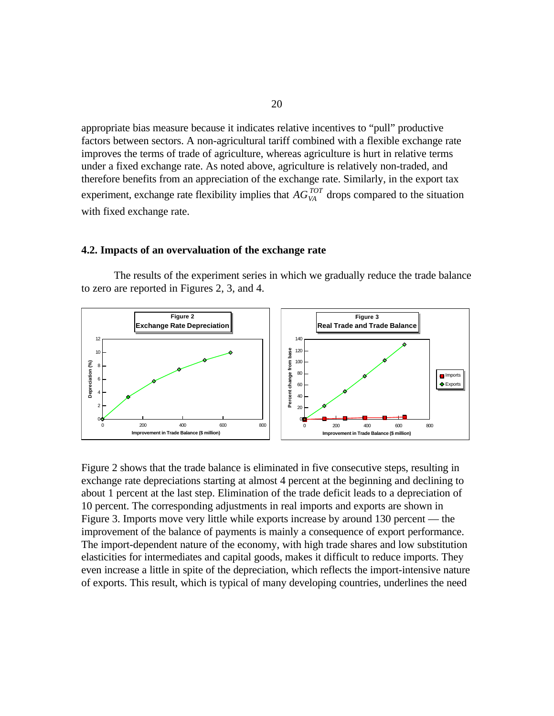experiment, exchange rate flexibility implies that  $AG_{VA}^{TOT}$  drops compared to the situation appropriate bias measure because it indicates relative incentives to "pull" productive factors between sectors. A non-agricultural tariff combined with a flexible exchange rate improves the terms of trade of agriculture, whereas agriculture is hurt in relative terms under a fixed exchange rate. As noted above, agriculture is relatively non-traded, and therefore benefits from an appreciation of the exchange rate. Similarly, in the export tax with fixed exchange rate.

#### **4.2. Impacts of an overvaluation of the exchange rate**

The results of the experiment series in which we gradually reduce the trade balance to zero are reported in Figures 2, 3, and 4.



Figure 2 shows that the trade balance is eliminated in five consecutive steps, resulting in exchange rate depreciations starting at almost 4 percent at the beginning and declining to about 1 percent at the last step. Elimination of the trade deficit leads to a depreciation of 10 percent. The corresponding adjustments in real imports and exports are shown in Figure 3. Imports move very little while exports increase by around 130 percent — the improvement of the balance of payments is mainly a consequence of export performance. The import-dependent nature of the economy, with high trade shares and low substitution elasticities for intermediates and capital goods, makes it difficult to reduce imports. They even increase a little in spite of the depreciation, which reflects the import-intensive nature of exports. This result, which is typical of many developing countries, underlines the need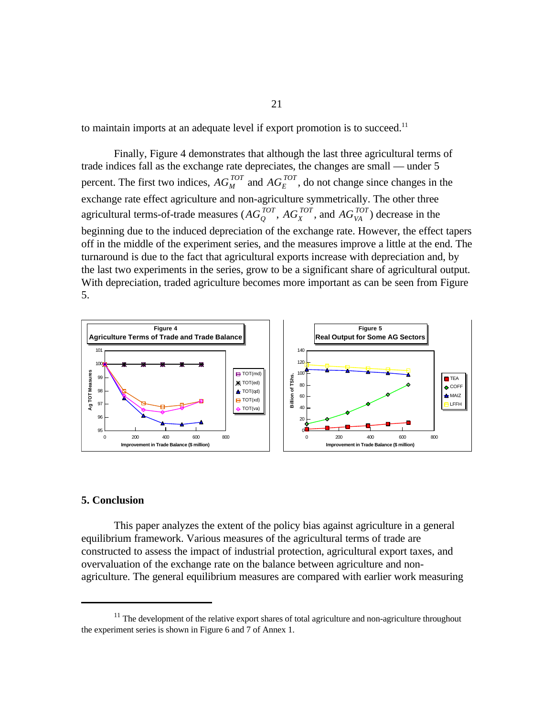to maintain imports at an adequate level if export promotion is to succeed.<sup>11</sup>

percent. The first two indices,  $AG_M^{TOT}$  and  $AG_E^{TOT}$ , do not change since changes in the agricultural terms-of-trade measures ( $AG_Q^{TOT}$ ,  $AG_X^{TOT}$ , and  $AG_{VA}^{TOT}$ ) decrease in the Finally, Figure 4 demonstrates that although the last three agricultural terms of trade indices fall as the exchange rate depreciates, the changes are small — under 5 exchange rate effect agriculture and non-agriculture symmetrically. The other three beginning due to the induced depreciation of the exchange rate. However, the effect tapers off in the middle of the experiment series, and the measures improve a little at the end. The turnaround is due to the fact that agricultural exports increase with depreciation and, by the last two experiments in the series, grow to be a significant share of agricultural output. With depreciation, traded agriculture becomes more important as can be seen from Figure 5.



#### **5. Conclusion**

This paper analyzes the extent of the policy bias against agriculture in a general equilibrium framework. Various measures of the agricultural terms of trade are constructed to assess the impact of industrial protection, agricultural export taxes, and overvaluation of the exchange rate on the balance between agriculture and nonagriculture. The general equilibrium measures are compared with earlier work measuring

 $11$ . The development of the relative export shares of total agriculture and non-agriculture throughout the experiment series is shown in Figure 6 and 7 of Annex 1.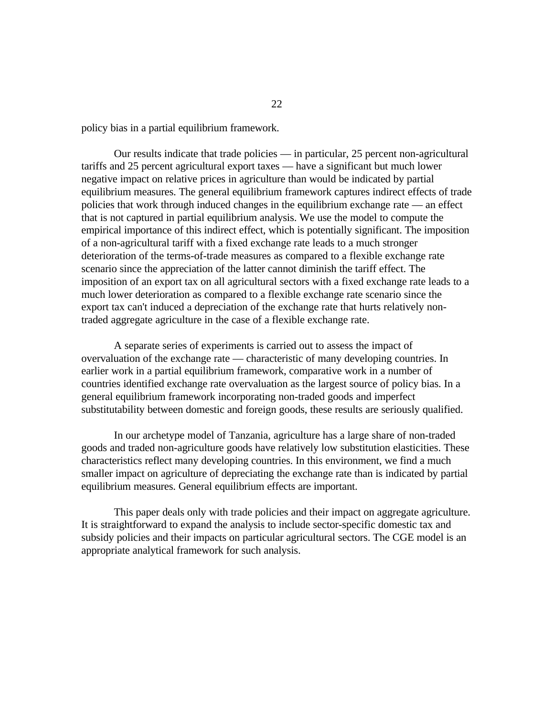policy bias in a partial equilibrium framework.

Our results indicate that trade policies — in particular, 25 percent non-agricultural tariffs and 25 percent agricultural export taxes — have a significant but much lower negative impact on relative prices in agriculture than would be indicated by partial equilibrium measures. The general equilibrium framework captures indirect effects of trade policies that work through induced changes in the equilibrium exchange rate — an effect that is not captured in partial equilibrium analysis. We use the model to compute the empirical importance of this indirect effect, which is potentially significant. The imposition of a non-agricultural tariff with a fixed exchange rate leads to a much stronger deterioration of the terms-of-trade measures as compared to a flexible exchange rate scenario since the appreciation of the latter cannot diminish the tariff effect. The imposition of an export tax on all agricultural sectors with a fixed exchange rate leads to a much lower deterioration as compared to a flexible exchange rate scenario since the export tax can't induced a depreciation of the exchange rate that hurts relatively nontraded aggregate agriculture in the case of a flexible exchange rate.

A separate series of experiments is carried out to assess the impact of overvaluation of the exchange rate — characteristic of many developing countries. In earlier work in a partial equilibrium framework, comparative work in a number of countries identified exchange rate overvaluation as the largest source of policy bias. In a general equilibrium framework incorporating non-traded goods and imperfect substitutability between domestic and foreign goods, these results are seriously qualified.

In our archetype model of Tanzania, agriculture has a large share of non-traded goods and traded non-agriculture goods have relatively low substitution elasticities. These characteristics reflect many developing countries. In this environment, we find a much smaller impact on agriculture of depreciating the exchange rate than is indicated by partial equilibrium measures. General equilibrium effects are important.

This paper deals only with trade policies and their impact on aggregate agriculture. It is straightforward to expand the analysis to include sector-specific domestic tax and subsidy policies and their impacts on particular agricultural sectors. The CGE model is an appropriate analytical framework for such analysis.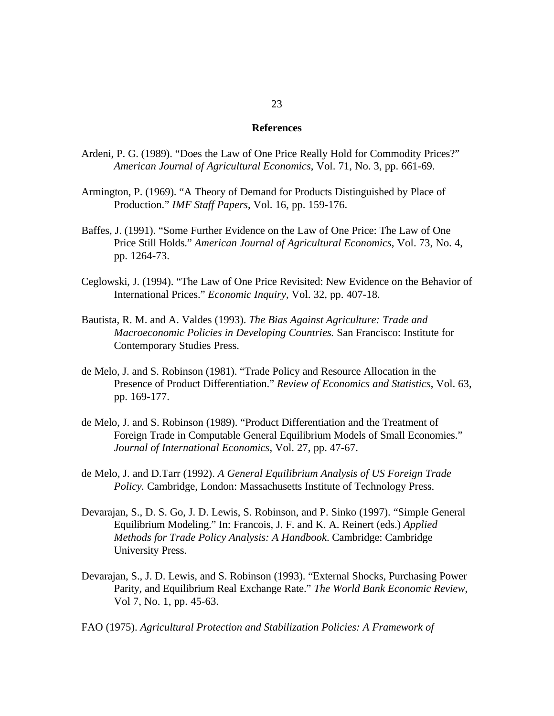#### **References**

- Ardeni, P. G. (1989). "Does the Law of One Price Really Hold for Commodity Prices?" *American Journal of Agricultural Economics*, Vol. 71, No. 3, pp. 661-69.
- Armington, P. (1969). "A Theory of Demand for Products Distinguished by Place of Production." *IMF Staff Papers*, Vol. 16, pp. 159-176.
- Baffes, J. (1991). "Some Further Evidence on the Law of One Price: The Law of One Price Still Holds." *American Journal of Agricultural Economics*, Vol. 73, No. 4, pp. 1264-73.
- Ceglowski, J. (1994). "The Law of One Price Revisited: New Evidence on the Behavior of International Prices." *Economic Inquiry*, Vol. 32, pp. 407-18.
- Bautista, R. M. and A. Valdes (1993). *The Bias Against Agriculture: Trade and Macroeconomic Policies in Developing Countries.* San Francisco: Institute for Contemporary Studies Press.
- de Melo, J. and S. Robinson (1981). "Trade Policy and Resource Allocation in the Presence of Product Differentiation." *Review of Economics and Statistics*, Vol. 63, pp. 169-177.
- de Melo, J. and S. Robinson (1989). "Product Differentiation and the Treatment of Foreign Trade in Computable General Equilibrium Models of Small Economies." *Journal of International Economics*, Vol. 27, pp. 47-67.
- de Melo, J. and D.Tarr (1992). *A General Equilibrium Analysis of US Foreign Trade Policy.* Cambridge, London: Massachusetts Institute of Technology Press.
- Devarajan, S., D. S. Go, J. D. Lewis, S. Robinson, and P. Sinko (1997). "Simple General Equilibrium Modeling." In: Francois, J. F. and K. A. Reinert (eds.) *Applied Methods for Trade Policy Analysis: A Handbook*. Cambridge: Cambridge University Press.
- Devarajan, S., J. D. Lewis, and S. Robinson (1993). "External Shocks, Purchasing Power Parity, and Equilibrium Real Exchange Rate." *The World Bank Economic Review*, Vol 7, No. 1, pp. 45-63.
- FAO (1975). *Agricultural Protection and Stabilization Policies: A Framework of*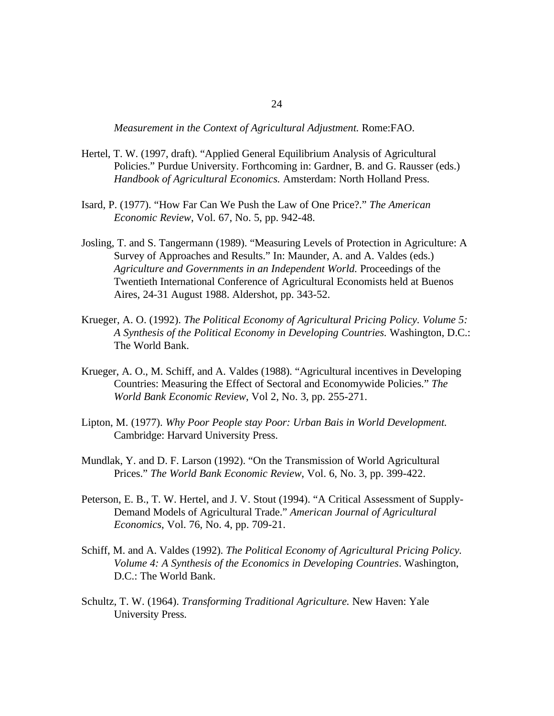*Measurement in the Context of Agricultural Adjustment.* Rome:FAO.

- Hertel, T. W. (1997, draft). "Applied General Equilibrium Analysis of Agricultural Policies." Purdue University. Forthcoming in: Gardner, B. and G. Rausser (eds.) *Handbook of Agricultural Economics.* Amsterdam: North Holland Press.
- Isard, P. (1977). "How Far Can We Push the Law of One Price?." *The American Economic Review*, Vol. 67, No. 5, pp. 942-48.
- Josling, T. and S. Tangermann (1989). "Measuring Levels of Protection in Agriculture: A Survey of Approaches and Results." In: Maunder, A. and A. Valdes (eds.) *Agriculture and Governments in an Independent World.* Proceedings of the Twentieth International Conference of Agricultural Economists held at Buenos Aires, 24-31 August 1988. Aldershot, pp. 343-52.
- Krueger, A. O. (1992). *The Political Economy of Agricultural Pricing Policy. Volume 5: A Synthesis of the Political Economy in Developing Countries.* Washington, D.C.: The World Bank.
- Krueger, A. O., M. Schiff, and A. Valdes (1988). "Agricultural incentives in Developing Countries: Measuring the Effect of Sectoral and Economywide Policies." *The World Bank Economic Review*, Vol 2, No. 3, pp. 255-271.
- Lipton, M. (1977). *Why Poor People stay Poor: Urban Bais in World Development.* Cambridge: Harvard University Press.
- Mundlak, Y. and D. F. Larson (1992). "On the Transmission of World Agricultural Prices." *The World Bank Economic Review*, Vol. 6, No. 3, pp. 399-422.
- Peterson, E. B., T. W. Hertel, and J. V. Stout (1994). "A Critical Assessment of Supply-Demand Models of Agricultural Trade." *American Journal of Agricultural Economics*, Vol. 76, No. 4, pp. 709-21.
- Schiff, M. and A. Valdes (1992). *The Political Economy of Agricultural Pricing Policy. Volume 4: A Synthesis of the Economics in Developing Countries*. Washington, D.C.: The World Bank.
- Schultz, T. W. (1964). *Transforming Traditional Agriculture.* New Haven: Yale University Press.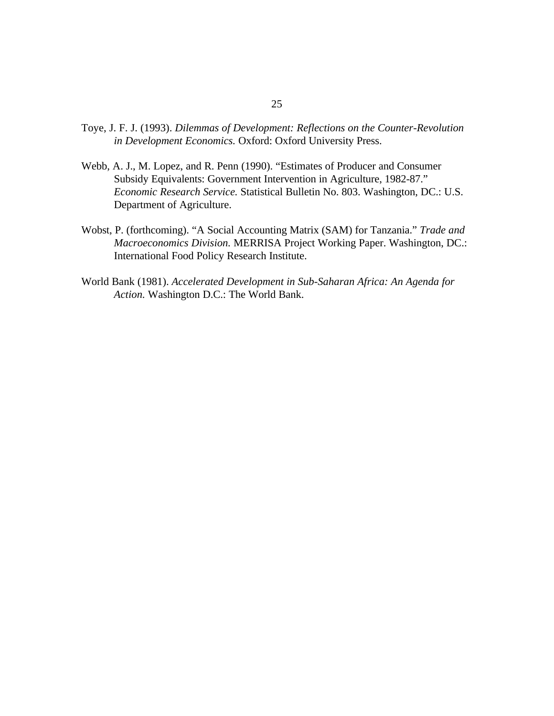- Toye, J. F. J. (1993). *Dilemmas of Development: Reflections on the Counter-Revolution in Development Economics.* Oxford: Oxford University Press.
- Webb, A. J., M. Lopez, and R. Penn (1990). "Estimates of Producer and Consumer Subsidy Equivalents: Government Intervention in Agriculture, 1982-87." *Economic Research Service.* Statistical Bulletin No. 803. Washington, DC.: U.S. Department of Agriculture.
- Wobst, P. (forthcoming). "A Social Accounting Matrix (SAM) for Tanzania." *Trade and Macroeconomics Division.* MERRISA Project Working Paper. Washington, DC.: International Food Policy Research Institute.
- World Bank (1981). *Accelerated Development in Sub-Saharan Africa: An Agenda for Action.* Washington D.C.: The World Bank.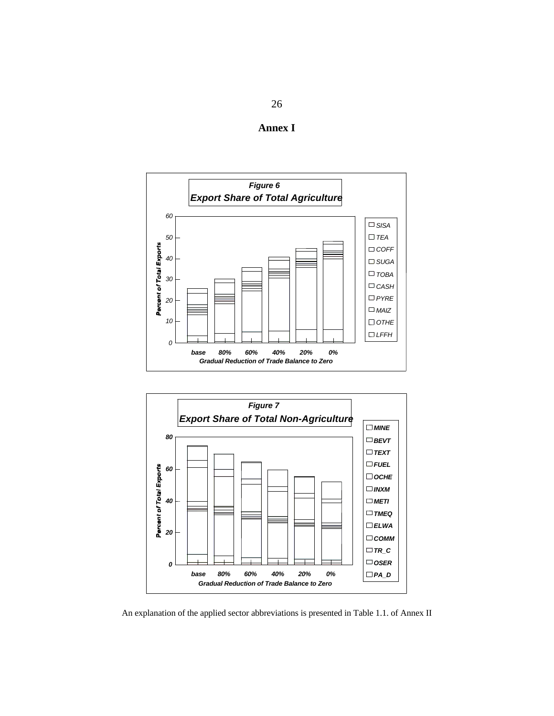





An explanation of the applied sector abbreviations is presented in Table 1.1. of Annex II

26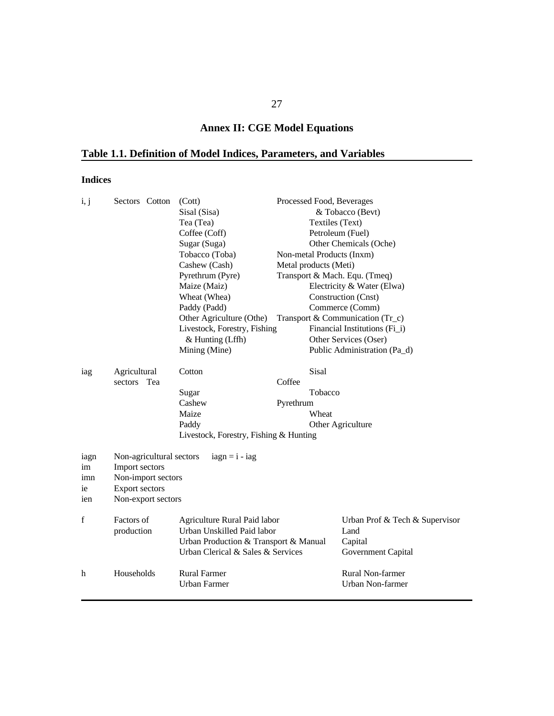## **Annex II: CGE Model Equations**

## **Table 1.1. Definition of Model Indices, Parameters, and Variables**

### **Indices**

| i, j              | Sectors Cotton                                                   | (Cott)                                                                                                                                   | Processed Food, Beverages     |                                                                         |
|-------------------|------------------------------------------------------------------|------------------------------------------------------------------------------------------------------------------------------------------|-------------------------------|-------------------------------------------------------------------------|
|                   |                                                                  | Sisal (Sisa)                                                                                                                             |                               | & Tobacco (Bevt)                                                        |
|                   |                                                                  | Tea (Tea)                                                                                                                                | Textiles (Text)               |                                                                         |
|                   |                                                                  | Coffee (Coff)                                                                                                                            |                               | Petroleum (Fuel)                                                        |
|                   |                                                                  | Sugar (Suga)                                                                                                                             |                               | Other Chemicals (Oche)                                                  |
|                   |                                                                  | Tobacco (Toba)                                                                                                                           | Non-metal Products (Inxm)     |                                                                         |
|                   |                                                                  | Cashew (Cash)                                                                                                                            | Metal products (Meti)         |                                                                         |
|                   |                                                                  | Pyrethrum (Pyre)                                                                                                                         | Transport & Mach. Equ. (Tmeq) |                                                                         |
|                   |                                                                  | Maize (Maiz)                                                                                                                             |                               | Electricity & Water (Elwa)                                              |
|                   |                                                                  | Wheat (Whea)                                                                                                                             |                               | Construction (Cnst)                                                     |
|                   |                                                                  | Paddy (Padd)                                                                                                                             |                               | Commerce (Comm)                                                         |
|                   |                                                                  | Other Agriculture (Othe)                                                                                                                 |                               | Transport & Communication (Tr_c)                                        |
|                   |                                                                  | Livestock, Forestry, Fishing                                                                                                             |                               | Financial Institutions (Fi_i)                                           |
|                   |                                                                  | & Hunting (Lffh)                                                                                                                         |                               | Other Services (Oser)                                                   |
|                   |                                                                  | Mining (Mine)                                                                                                                            |                               | Public Administration (Pa_d)                                            |
| iag               | Agricultural                                                     | Cotton                                                                                                                                   | Sisal                         |                                                                         |
|                   | sectors Tea                                                      |                                                                                                                                          | Coffee                        |                                                                         |
|                   |                                                                  | Sugar                                                                                                                                    | Tobacco                       |                                                                         |
|                   |                                                                  | Cashew                                                                                                                                   | Pyrethrum                     |                                                                         |
|                   |                                                                  | Maize                                                                                                                                    | Wheat                         |                                                                         |
|                   |                                                                  | Paddy                                                                                                                                    |                               | Other Agriculture                                                       |
|                   |                                                                  | Livestock, Forestry, Fishing & Hunting                                                                                                   |                               |                                                                         |
| iagn<br>im<br>imn | Non-agricultural sectors<br>Import sectors<br>Non-import sectors | $iagn = i - iag$                                                                                                                         |                               |                                                                         |
| 1e                | <b>Export sectors</b>                                            |                                                                                                                                          |                               |                                                                         |
| ien               | Non-export sectors                                               |                                                                                                                                          |                               |                                                                         |
|                   |                                                                  |                                                                                                                                          |                               |                                                                         |
| f                 | Factors of<br>production                                         | Agriculture Rural Paid labor<br>Urban Unskilled Paid labor<br>Urban Production & Transport & Manual<br>Urban Clerical & Sales & Services |                               | Urban Prof & Tech & Supervisor<br>Land<br>Capital<br>Government Capital |
|                   |                                                                  |                                                                                                                                          |                               |                                                                         |
| h                 | Households                                                       | <b>Rural Farmer</b><br><b>Urban Farmer</b>                                                                                               |                               | Rural Non-farmer<br>Urban Non-farmer                                    |
|                   |                                                                  |                                                                                                                                          |                               |                                                                         |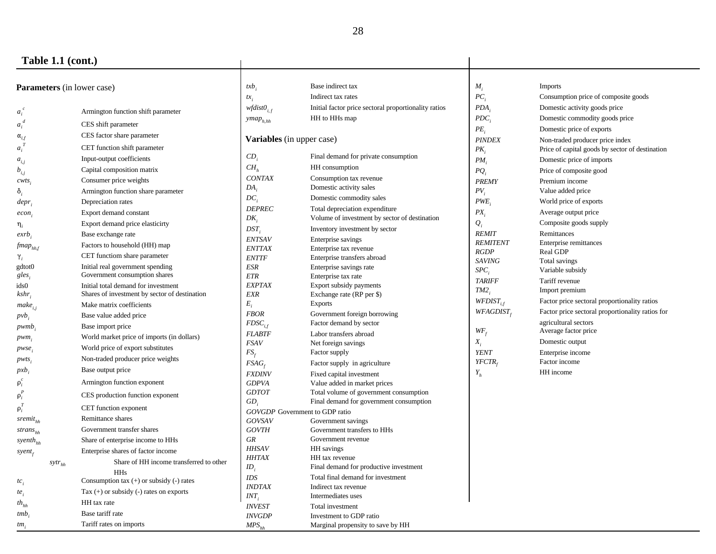### **Table 1.1 (cont.)**

| <b>Parameters</b> (in lower case)   |            | $txb$ .                                       | Base indirect tax              | $M_{\rm f}$                                              | <b>Imports</b>               |                                                  |
|-------------------------------------|------------|-----------------------------------------------|--------------------------------|----------------------------------------------------------|------------------------------|--------------------------------------------------|
|                                     |            |                                               | $tx_i$                         | Indirect tax rates                                       | $PC_i$                       | Consumption price of composite goods             |
| $a_i$                               |            | Armington function shift parameter            | $wfdist0_{i,f}$                | Initial factor price sectoral proportionality ratios     | PDA                          | Domestic activity goods price                    |
| $a_i$                               |            | CES shift parameter                           | $ymap_{h, hh}$                 | HH to HHs map                                            | PDC                          | Domestic commodity goods price                   |
| $\alpha_{i,f}$                      |            | CES factor share parameter                    |                                |                                                          | $PE_i$                       | Domestic price of exports                        |
|                                     |            |                                               | Variables (in upper case)      |                                                          | <b>PINDEX</b>                | Non-traded producer price index                  |
| $a_i$                               |            | CET function shift parameter                  | $CD_i$                         | Final demand for private consumption                     | $PK_i$                       | Price of capital goods by sector of destination  |
| $a_{\boldsymbol{i},\boldsymbol{j}}$ |            | Input-output coefficients                     | CH <sub>h</sub>                | HH consumption                                           | $PM_{i}$                     | Domestic price of imports                        |
| $b_{\scriptscriptstyle i,j}$        |            | Capital composition matrix                    | <b>CONTAX</b>                  | Consumption tax revenue                                  | $PQ_i$                       | Price of composite good                          |
| CWIS                                |            | Consumer price weights                        | $DA_i$                         | Domestic activity sales                                  | <b>PREMY</b>                 | Premium income                                   |
| ð,                                  |            | Armington function share parameter            | $DC_i$                         | Domestic commodity sales                                 | PV <sub>i</sub>              | Value added price                                |
| $depr_i$                            |            | Depreciation rates                            | <b>DEPREC</b>                  | Total depreciation expenditure                           | PWE                          | World price of exports                           |
| econ                                |            | Export demand constant                        | $DK_i$                         | Volume of investment by sector of destination            | $PX_i$                       | Average output price                             |
| $\eta_i$                            |            | Export demand price elasticirty               | $DST_i$                        | Inventory investment by sector                           | $Q_i$                        | Composite goods supply                           |
| exrb                                |            | Base exchange rate                            | <b>ENTSAV</b>                  | Enterprise savings                                       | <b>REMIT</b>                 | Remittances                                      |
| $\textit{fmap}_{\textit{hhf}}$      |            | Factors to household (HH) map                 | <b>ENTTAX</b>                  | Enterprise tax revenue                                   | <b>REMITENT</b>              | Enterprise remittances                           |
| $\gamma_i$                          |            | CET functiom share parameter                  | <b>ENTTF</b>                   | Enterprise transfers abroad                              | <b>RGDP</b><br><b>SAVING</b> | Real GDP<br>Total savings                        |
| gdtot0                              |            | Initial real government spending              | ESR                            | Enterprise savings rate                                  | $SPC_i$                      | Variable subsidy                                 |
| gles <sub>i</sub>                   |            | Government consumption shares                 | <b>ETR</b>                     | Enterprise tax rate                                      | <b>TARIFF</b>                | Tariff revenue                                   |
| ids0                                |            | Initial total demand for investment           | <b>EXPTAX</b>                  | Export subsidy payments                                  | TM2                          | Import premium                                   |
| kshr,                               |            | Shares of investment by sector of destination | <b>EXR</b>                     | Exchange rate (RP per \$)                                | $WFDIST_{i,f}$               | Factor price sectoral proportionality ratios     |
| make <sub>i.i</sub>                 |            | Make matrix coefficients                      | $E_i$                          | <b>Exports</b>                                           |                              | Factor price sectoral proportionality ratios for |
| $pvb_i$                             |            | Base value added price                        | <b>FBOR</b>                    | Government foreign borrowing                             | $WFAGDIST_{\epsilon}$        |                                                  |
| pwmb                                |            | Base import price                             | $F DSC_{i,f}$                  | Factor demand by sector                                  | $WF_f$                       | agricultural sectors<br>Average factor price     |
| $pwm_i$                             |            | World market price of imports (in dollars)    | <b>FLABTF</b>                  | Labor transfers abroad                                   | $X_i$                        | Domestic output                                  |
| pwse;                               |            | World price of export substitutes             | <b>FSAV</b>                    | Net foreign savings                                      | <b>YENT</b>                  | Enterprise income                                |
| $pwts_i$                            |            | Non-traded producer price weights             | $FS_f$                         | Factor supply                                            | YFCTR                        | Factor income                                    |
| $pxb_i$                             |            | Base output price                             | FSAG                           | Factor supply in agriculture                             |                              | HH income                                        |
|                                     |            | Armington function exponent                   | <b>FXDINV</b><br><b>GDPVA</b>  | Fixed capital investment<br>Value added in market prices | $Y_{h}$                      |                                                  |
| $\rho_i$                            |            |                                               | <b>GDTOT</b>                   | Total volume of government consumption                   |                              |                                                  |
| $\rho_i$                            |            | CES production function exponent              | $GD_i$                         | Final demand for government consumption                  |                              |                                                  |
| $\rho_i^T$                          |            | CET function exponent                         | GOVGDP Government to GDP ratio |                                                          |                              |                                                  |
| $s$ remit <sub>hh</sub>             |            | Remittance shares                             | <b>GOVSAV</b>                  | Government savings                                       |                              |                                                  |
| $strans_{hh}$                       |            | Government transfer shares                    | <b>GOVTH</b>                   | Government transfers to HHs                              |                              |                                                  |
| syenth <sub><sub>hh</sub></sub>     |            | Share of enterprise income to HHs             | GR                             | Government revenue                                       |                              |                                                  |
| $s$ yent $_{f}$                     |            | Enterprise shares of factor income            | <b>HHSAV</b>                   | HH savings                                               |                              |                                                  |
|                                     | $syr_{hh}$ | Share of HH income transferred to other       | <b>HHTAX</b>                   | HH tax revenue                                           |                              |                                                  |
|                                     |            | <b>HHs</b>                                    | $ID_i$                         | Final demand for productive investment                   |                              |                                                  |
| $tc_i$                              |            | Consumption tax $(+)$ or subsidy $(-)$ rates  | <b>IDS</b>                     | Total final demand for investment                        |                              |                                                  |
| te,                                 |            | Tax $(+)$ or subsidy $(-)$ rates on exports   | <b>INDTAX</b>                  | Indirect tax revenue                                     |                              |                                                  |
| $\mathit{th}_{\mathit{hh}}$         |            | HH tax rate                                   | $INT_i$                        | Intermediates uses                                       |                              |                                                  |
| $tmb$                               |            | Base tariff rate                              | <b>INVEST</b>                  | Total investment                                         |                              |                                                  |
|                                     |            | Tariff rates on imports                       | <b>INVGDP</b>                  | Investment to GDP ratio                                  |                              |                                                  |
| tm <sub>i</sub>                     |            |                                               | $MPS_{hh}$                     | Marginal propensity to save by HH                        |                              |                                                  |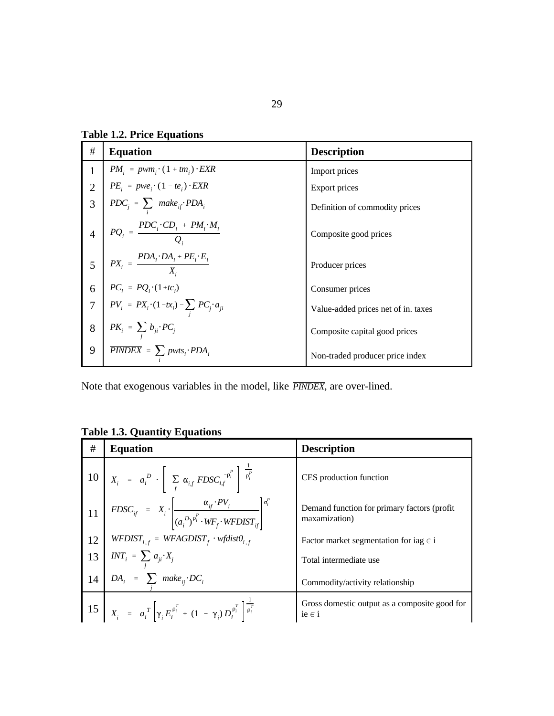**Table 1.2. Price Equations**

| #               | <b>Equation</b>                                                                                                                 | <b>Description</b>                  |
|-----------------|---------------------------------------------------------------------------------------------------------------------------------|-------------------------------------|
| $\mathbf{1}$    | $PM_i = pwm_i \cdot (1 + tm_i) \cdot EXR$                                                                                       | Import prices                       |
| $\overline{2}$  | $PE_i = pwe_i \cdot (1 - te_i) \cdot EXR$                                                                                       | Export prices                       |
| 3               | $PDC_j = \sum_i \space make_{if} \space PDA_i$                                                                                  | Definition of commodity prices      |
|                 | $PQ_i = \frac{PDC_i \cdot CD_i + PM_i \cdot M_i}{Q_i}$                                                                          | Composite good prices               |
| $5\overline{)}$ | $\label{eq:2} \begin{array}{ c } \hline & P X_i = \dfrac{P D A_i \cdot D A_i + P E_i \cdot E_i}{X_i} \hline \end{array}$        | Producer prices                     |
| 6               |                                                                                                                                 | Consumer prices                     |
|                 | $\label{eq:PC} \begin{array}{ l l } PC_i = PQ_i\cdot(1+tc_i) \\ PV_i = PX_i\cdot(1-tx_i) - \sum_j PC_j\cdot a_{ji} \end{array}$ | Value-added prices net of in. taxes |
| 8               | $PK_i = \sum_i b_{ji} \cdot PC_j$                                                                                               | Composite capital good prices       |
| 9               | $\overline{PINDEX} = \sum pwts_i \cdot PDA_i$                                                                                   | Non-traded producer price index     |

Note that exogenous variables in the model, like **PINDEX**, are over-lined.

**Table 1.3. Quantity Equations**

| # | <b>Equation</b>                                                                                                                                                                                  | <b>Description</b>                                            |
|---|--------------------------------------------------------------------------------------------------------------------------------------------------------------------------------------------------|---------------------------------------------------------------|
|   | 10 $X_i = a_i^D \cdot \left[ \sum_f \alpha_{i,f} F D S C_{i,f}^{-\rho_i^P} \right]^{-\frac{P}{\rho_i^P}}$                                                                                        | CES production function                                       |
|   | $11 \begin{bmatrix} F D S C_{ij} = X_i \left[ \frac{\alpha_{ij} \cdot P V_i}{(a_i^D)^{\theta_i^P} \cdot W F_j \cdot W F D I S T_{ij}} \right]^{o_i^P} \end{bmatrix}$                             | Demand function for primary factors (profit)<br>maxamization) |
|   |                                                                                                                                                                                                  | Factor market segmentation for iag $\in$ i                    |
|   | 12 WFDIST <sub>i,f</sub> = WFAGDIST <sub>f</sub> · wfdist $0_{i,f}$<br>13 INT <sub>i</sub> = $\sum_{j} a_{ji} \cdot X_j$<br>14 DA <sub>i</sub> = $\sum_{i}$ make <sub>ij</sub> · DC <sub>i</sub> | Total intermediate use                                        |
|   |                                                                                                                                                                                                  | Commodity/activity relationship                               |
|   | $15 \begin{bmatrix} X_i = a_i^T \end{bmatrix} \gamma_i E_i^{\rho_i^T} + (1 - \gamma_i) D_i^{\rho_i^T} \begin{bmatrix} \overline{\rho_i^T} \end{bmatrix}$                                         | Gross domestic output as a composite good for<br>$ie \in i$   |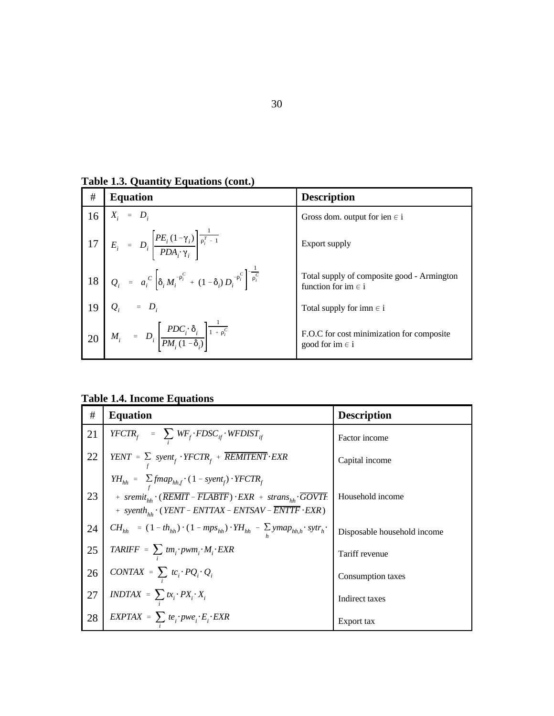**Table 1.3. Quantity Equations (cont.)**

| #  | <b>Equation</b>                                                                                                                                                                                                                     | <b>Description</b>                                                    |
|----|-------------------------------------------------------------------------------------------------------------------------------------------------------------------------------------------------------------------------------------|-----------------------------------------------------------------------|
| 16 | $X_i = D_i$                                                                                                                                                                                                                         | Gross dom. output for ien $\in$ i                                     |
|    | 10<br>17 $E_i = D_i \left[ \frac{PE_i (1 - \gamma_i)}{PDA_i \gamma_i} \right] \frac{1}{\rho_i^T - 1}$                                                                                                                               | Export supply                                                         |
|    |                                                                                                                                                                                                                                     | Total supply of composite good - Armington<br>function for im $\in$ i |
|    |                                                                                                                                                                                                                                     | Total supply for imn $\in$ i                                          |
|    | 18 $Q_i = a_i^C \left[ \delta_i M_i^{-\rho_i^C} + (1 - \delta_i) D_i^{-\rho_i^C} \right]^{-\frac{1}{\rho_i^C}}$<br>19 $Q_i = D_i$<br>20 $M_i = D_i \left[ \frac{PDC_i \cdot \delta_i}{PM_i (1 - \delta_i)} \right]^{-1} + \rho_i^C$ | F.O.C for cost minimization for composite<br>good for im $\in$ i      |

**Table 1.4. Income Equations**

| $\#$ | <b>Equation</b>                                                                                             | <b>Description</b>          |
|------|-------------------------------------------------------------------------------------------------------------|-----------------------------|
| 21   | $YFCTR_f$ = $\sum_{i} WF_f \cdot FDSC_{if} \cdot WFDIST_{if}$                                               | Factor income               |
| 22   | $YENT = \sum$ syent <sub>f</sub> $YFCTR$ <sub>f</sub> + $\overline{REMITENT} \cdot EXR$                     | Capital income              |
|      | $YH_{hh} = \sum_{f} fmap_{hh,f} \cdot (1 - syent_f) \cdot YFCTR_f$                                          |                             |
| 23   | + $sremit_{th} \cdot (\overline{REMIT} - \overline{FLABTF}) \cdot EXR + strans_{th} \cdot \overline{GOVTE}$ | Household income            |
|      | + syenth <sub>hh</sub> $\cdot$ (YENT – ENTTAX – ENTSAV – $\overline{ENTF} \cdot EXP$ )                      |                             |
| 24   | $CH_{hh} = (1 - th_{hh}) \cdot (1 - mps_{hh}) \cdot YH_{hh} - \sum ymap_{hh,h} \cdot sytr_h$ .              | Disposable household income |
| 25   | $\textit{TARIFF} = \sum \, t m_i \cdot \textit{pwm}_i \cdot M_i \cdot \textit{EXR}$                         | Tariff revenue              |
| 26   | $\textit{CONTAX} = \sum_i t c_i \cdot PQ_i \cdot Q_i$                                                       | Consumption taxes           |
| 27   | $\textit{INDTAX} \ = \ \sum_i \textit{tx}_i \cdot \textit{PX}_i \cdot \textit{X}_i$                         | Indirect taxes              |
| 28   | $EXPTAX = \sum t e_i$ ; $pwe_i$ ; $E_i$ ; $EXR$                                                             | Export tax                  |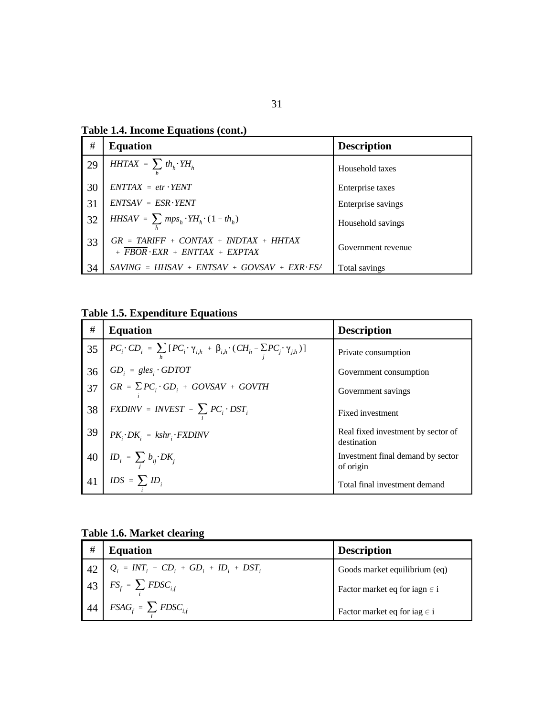**Table 1.4. Income Equations (cont.)**

| #  | <b>Equation</b>                                                                                          | <b>Description</b> |
|----|----------------------------------------------------------------------------------------------------------|--------------------|
| 29 | $HHTAX = \sum th_h \cdot YH_h$                                                                           | Household taxes    |
| 30 | $ENTTAX = etr \cdot YENT$                                                                                | Enterprise taxes   |
| 31 | $ENTSAV = ESR \cdot YENT$                                                                                | Enterprise savings |
| 32 | $HHSAV = \sum mps_h \cdot YH_h \cdot (1 - th_h)$                                                         | Household savings  |
| 33 | $GR = TARIFF + CONTAX + INDTAX + HHTAX$<br>$+$ $\overline{FBOR}$ $\cdot$ $EXR$ $+$ $ENTTAX$ $+$ $EXPTAX$ | Government revenue |
| 34 | $SAVING = HHSAV + ENTSAV + GOVSAV + EXR \cdot FSA$                                                       | Total savings      |

**Table 1.5. Expenditure Equations**

| #  | <b>Equation</b>                                                                                                      | <b>Description</b>                                |
|----|----------------------------------------------------------------------------------------------------------------------|---------------------------------------------------|
| 35 | $PC_i \cdot CD_i = \sum_{i} [PC_i \cdot \gamma_{i,h} + \beta_{i,h} \cdot (CH_h - \sum_{i} PC_j \cdot \gamma_{j,h})]$ | Private consumption                               |
| 36 | $GD_i = gles_i \cdot GDTOT$                                                                                          | Government consumption                            |
| 37 | $GR = \sum PC_i \cdot GD_i + GOVSAV + GOVTH$                                                                         | Government savings                                |
| 38 | $FXDINV = INVEST - \sum PC_i \cdot DST_i$                                                                            | Fixed investment                                  |
| 39 | $PK_i \cdot DK_i = kshr_i \cdot FXDINV$                                                                              | Real fixed investment by sector of<br>destination |
| 40 | $\label{eq:1} ID_i \; = \; \sum_j \; b_{ij} \cdot DK_j$                                                              | Investment final demand by sector<br>of origin    |
| 41 | $IDS = \sum ID_i$                                                                                                    | Total final investment demand                     |

**Table 1.6. Market clearing**

| #  | <b>Equation</b>                                                   | <b>Description</b>                |
|----|-------------------------------------------------------------------|-----------------------------------|
| 42 | $Q_i = INT_i + CD_i + GD_i + ID_i + DST_i$                        | Goods market equilibrium (eq)     |
|    | $\boxed{43}$ $FS_f = \sum_i F DSC_{i,f}$                          | Factor market eq for iagn $\in$ i |
|    | $\left  44 \right $ FSAG <sub>f</sub> = $\sum$ FDSC <sub>if</sub> | Factor market eq for iag $\in$ i  |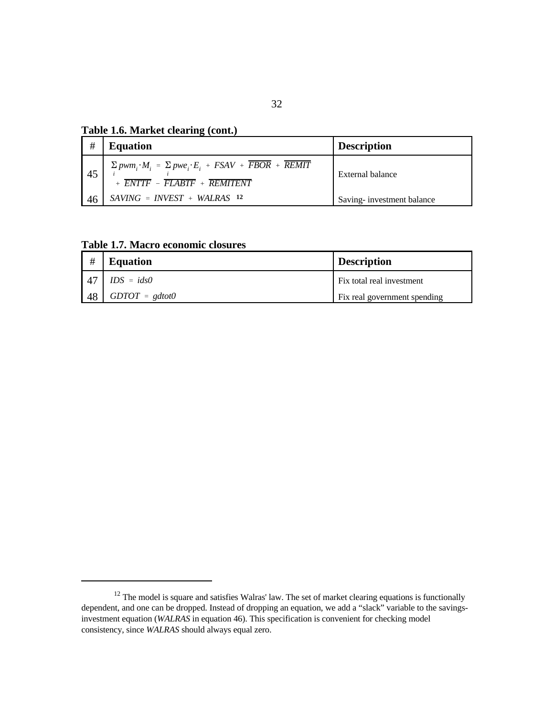**Table 1.6. Market clearing (cont.)**

| #   | <b>Equation</b>                                                                                                                                                     | <b>Description</b>        |
|-----|---------------------------------------------------------------------------------------------------------------------------------------------------------------------|---------------------------|
| 45  | $\sum{pwm_i \cdot M_i} = \sum{pwe_i \cdot E_i} + FSAV + \overline{FBOR} + \overline{REMIT}$<br>$+$ $\overline{ENTF}$ $ \overline{FLABTF}$ $+$ $\overline{REMITENT}$ | External balance          |
| -46 | $SAVING = INVEST + WALRAS$ 12                                                                                                                                       | Saving-investment balance |

**Table 1.7. Macro economic closures**

| #               | <b>Equation</b>  | <b>Description</b>           |
|-----------------|------------------|------------------------------|
| $\overline{47}$ | $IDS = ids0$     | Fix total real investment    |
| -48             | $GDTOT = gdtot0$ | Fix real government spending |

 $12$  The model is square and satisfies Walras' law. The set of market clearing equations is functionally dependent, and one can be dropped. Instead of dropping an equation, we add a "slack" variable to the savingsinvestment equation (*WALRAS* in equation 46). This specification is convenient for checking model consistency, since *WALRAS* should always equal zero.